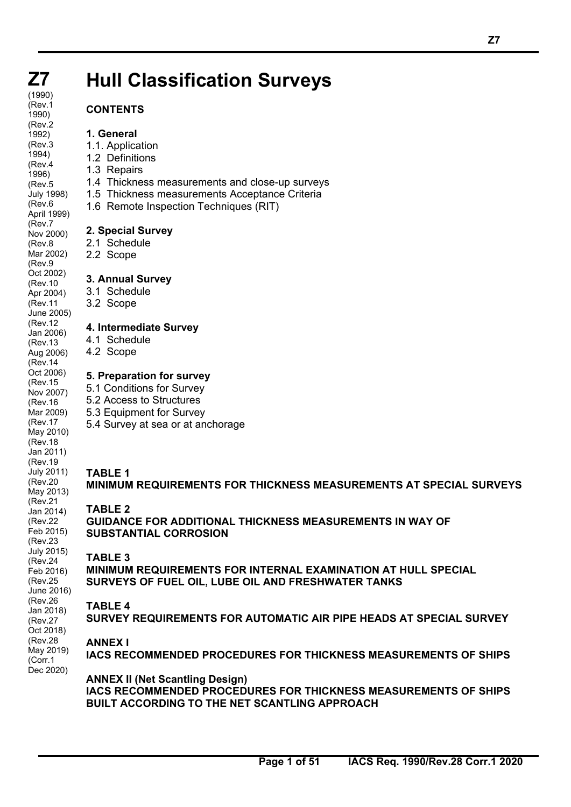# **Hull Classification Surveys**

## **CONTENTS**

## **1. General**

- 1.1. Application
- 1.2 Definitions
- 1.3 Repairs
- 1.4 Thickness measurements and close-up surveys
- 1.5 Thickness measurements Acceptance Criteria
- 1.6 Remote Inspection Techniques (RIT)

## **2. Special Survey**

- 2.1 Schedule
- 2.2 Scope

## **3. Annual Survey**

- 3.1 Schedule
- 3.2 Scope

## **4. Intermediate Survey**

- 4.1 Schedule
- 4.2 Scope

## **5. Preparation for survey**

- 5.1 Conditions for Survey
- 5.2 Access to Structures
- 5.3 Equipment for Survey
	- 5.4 Survey at sea or at anchorage

## **TABLE 1**

## **MINIMUM REQUIREMENTS FOR THICKNESS MEASUREMENTS AT SPECIAL SURVEYS**

## **TABLE 2**

**GUIDANCE FOR ADDITIONAL THICKNESS MEASUREMENTS IN WAY OF SUBSTANTIAL CORROSION** 

## **TABLE 3**

**MINIMUM REQUIREMENTS FOR INTERNAL EXAMINATION AT HULL SPECIAL SURVEYS OF FUEL OIL, LUBE OIL AND FRESHWATER TANKS** 

## **TABLE 4**

**SURVEY REQUIREMENTS FOR AUTOMATIC AIR PIPE HEADS AT SPECIAL SURVEY** 

## **ANNEX I**

 $\overline{a}$ 

**IACS RECOMMENDED PROCEDURES FOR THICKNESS MEASUREMENTS OF SHIPS**

**ANNEX II (Net Scantling Design) IACS RECOMMENDED PROCEDURES FOR THICKNESS MEASUREMENTS OF SHIPS BUILT ACCORDING TO THE NET SCANTLING APPROACH**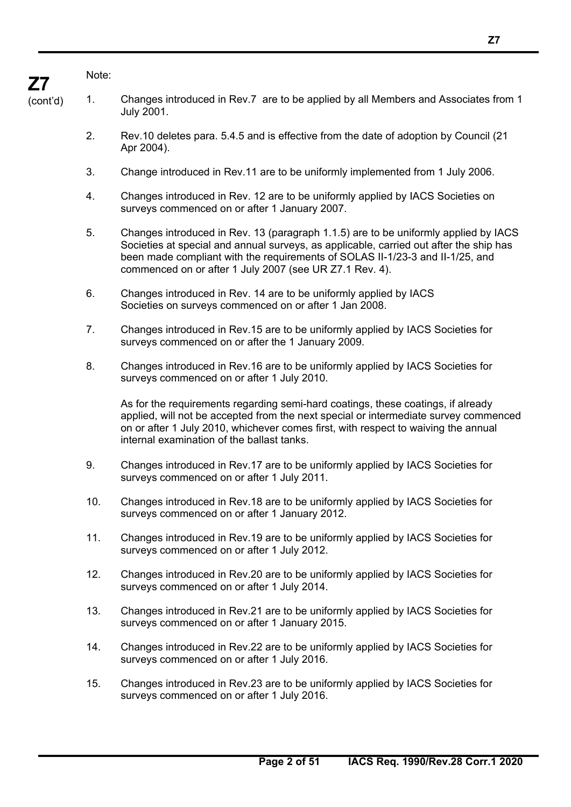### Note:

 $\overline{a}$ 

- 1. Changes introduced in Rev.7 are to be applied by all Members and Associates from 1 July 2001.
	- 2. Rev.10 deletes para. 5.4.5 and is effective from the date of adoption by Council (21 Apr 2004).
	- 3. Change introduced in Rev.11 are to be uniformly implemented from 1 July 2006.
	- 4. Changes introduced in Rev. 12 are to be uniformly applied by IACS Societies on surveys commenced on or after 1 January 2007.
	- 5. Changes introduced in Rev. 13 (paragraph 1.1.5) are to be uniformly applied by IACS Societies at special and annual surveys, as applicable, carried out after the ship has been made compliant with the requirements of SOLAS II-1/23-3 and II-1/25, and commenced on or after 1 July 2007 (see UR Z7.1 Rev. 4).
	- 6. Changes introduced in Rev. 14 are to be uniformly applied by IACS Societies on surveys commenced on or after 1 Jan 2008.
	- 7. Changes introduced in Rev.15 are to be uniformly applied by IACS Societies for surveys commenced on or after the 1 January 2009.
	- 8. Changes introduced in Rev.16 are to be uniformly applied by IACS Societies for surveys commenced on or after 1 July 2010.

As for the requirements regarding semi-hard coatings, these coatings, if already applied, will not be accepted from the next special or intermediate survey commenced on or after 1 July 2010, whichever comes first, with respect to waiving the annual internal examination of the ballast tanks.

- 9. Changes introduced in Rev.17 are to be uniformly applied by IACS Societies for surveys commenced on or after 1 July 2011.
- 10. Changes introduced in Rev.18 are to be uniformly applied by IACS Societies for surveys commenced on or after 1 January 2012.
- 11. Changes introduced in Rev.19 are to be uniformly applied by IACS Societies for surveys commenced on or after 1 July 2012.
- 12. Changes introduced in Rev.20 are to be uniformly applied by IACS Societies for surveys commenced on or after 1 July 2014.
- 13. Changes introduced in Rev.21 are to be uniformly applied by IACS Societies for surveys commenced on or after 1 January 2015.
- 14. Changes introduced in Rev.22 are to be uniformly applied by IACS Societies for surveys commenced on or after 1 July 2016.
- 15. Changes introduced in Rev.23 are to be uniformly applied by IACS Societies for surveys commenced on or after 1 July 2016.

(cont'd)

**Z7**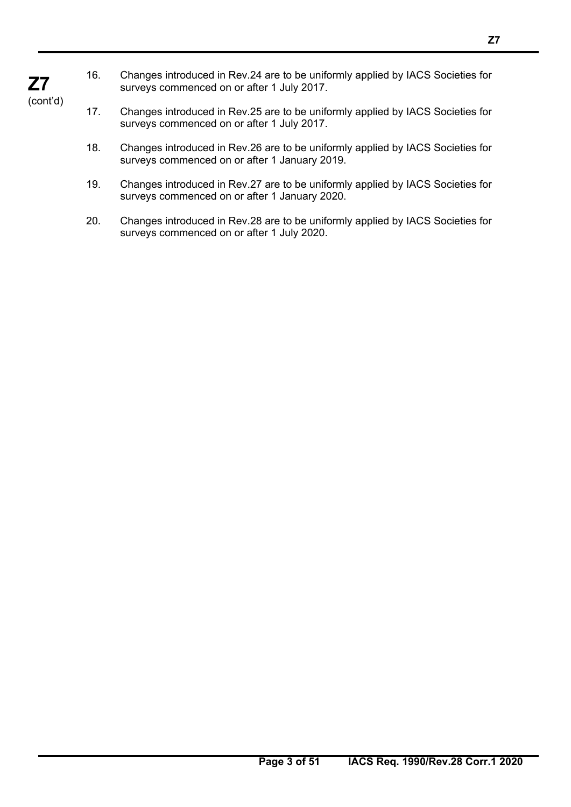- 18. Changes introduced in Rev.26 are to be uniformly applied by IACS Societies for
- 19. Changes introduced in Rev.27 are to be uniformly applied by IACS Societies for surveys commenced on or after 1 January 2020.

16. Changes introduced in Rev.24 are to be uniformly applied by IACS Societies for

17. Changes introduced in Rev.25 are to be uniformly applied by IACS Societies for

surveys commenced on or after 1 July 2017.

surveys commenced on or after 1 July 2017.

surveys commenced on or after 1 January 2019.

20. Changes introduced in Rev.28 are to be uniformly applied by IACS Societies for surveys commenced on or after 1 July 2020.

## **Z7**  (cont'd)

 $\overline{a}$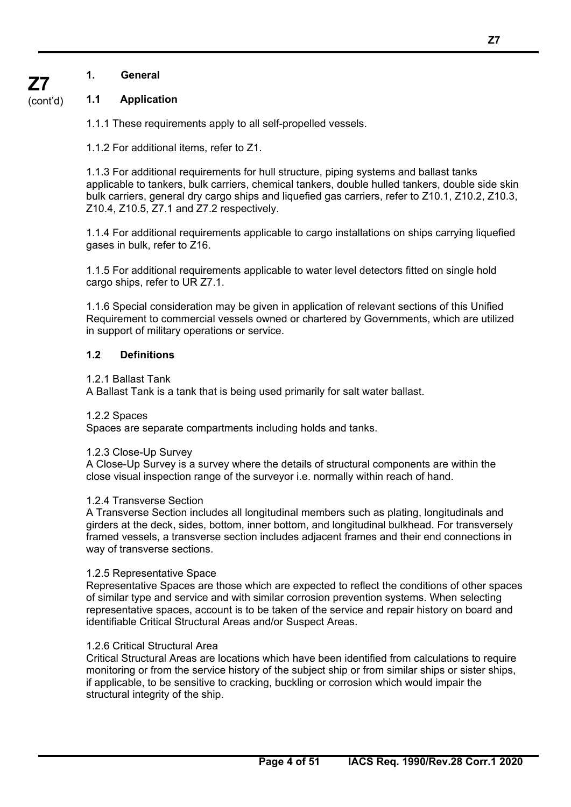## **1. General**

#### (cont'd) **1.1 Application**

**Z7** 

1.1.1 These requirements apply to all self-propelled vessels.

1.1.2 For additional items, refer to Z1.

1.1.3 For additional requirements for hull structure, piping systems and ballast tanks applicable to tankers, bulk carriers, chemical tankers, double hulled tankers, double side skin bulk carriers, general dry cargo ships and liquefied gas carriers, refer to Z10.1, Z10.2, Z10.3, Z10.4, Z10.5, Z7.1 and Z7.2 respectively.

1.1.4 For additional requirements applicable to cargo installations on ships carrying liquefied gases in bulk, refer to Z16.

1.1.5 For additional requirements applicable to water level detectors fitted on single hold cargo ships, refer to UR Z7.1.

1.1.6 Special consideration may be given in application of relevant sections of this Unified Requirement to commercial vessels owned or chartered by Governments, which are utilized in support of military operations or service.

## **1.2 Definitions**

### 1.2.1 Ballast Tank

A Ballast Tank is a tank that is being used primarily for salt water ballast.

## 1.2.2 Spaces

Spaces are separate compartments including holds and tanks.

## 1.2.3 Close-Up Survey

A Close-Up Survey is a survey where the details of structural components are within the close visual inspection range of the surveyor i.e. normally within reach of hand.

## 1.2.4 Transverse Section

A Transverse Section includes all longitudinal members such as plating, longitudinals and girders at the deck, sides, bottom, inner bottom, and longitudinal bulkhead. For transversely framed vessels, a transverse section includes adjacent frames and their end connections in way of transverse sections.

## 1.2.5 Representative Space

Representative Spaces are those which are expected to reflect the conditions of other spaces of similar type and service and with similar corrosion prevention systems. When selecting representative spaces, account is to be taken of the service and repair history on board and identifiable Critical Structural Areas and/or Suspect Areas.

## 1.2.6 Critical Structural Area

 $\overline{a}$ 

Critical Structural Areas are locations which have been identified from calculations to require monitoring or from the service history of the subject ship or from similar ships or sister ships, if applicable, to be sensitive to cracking, buckling or corrosion which would impair the structural integrity of the ship.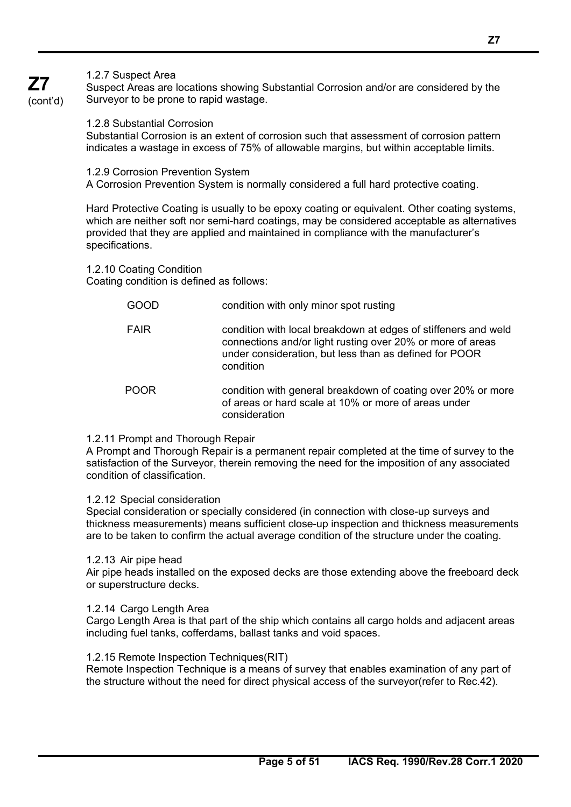## 1.2.7 Suspect Area

Suspect Areas are locations showing Substantial Corrosion and/or are considered by the Surveyor to be prone to rapid wastage.

(cont'd)

**Z7** 

1.2.8 Substantial Corrosion Substantial Corrosion is an extent of corrosion such that assessment of corrosion pattern indicates a wastage in excess of 75% of allowable margins, but within acceptable limits.

1.2.9 Corrosion Prevention System A Corrosion Prevention System is normally considered a full hard protective coating.

Hard Protective Coating is usually to be epoxy coating or equivalent. Other coating systems, which are neither soft nor semi-hard coatings, may be considered acceptable as alternatives provided that they are applied and maintained in compliance with the manufacturer's specifications.

1.2.10 Coating Condition

Coating condition is defined as follows:

 GOOD condition with only minor spot rusting FAIR condition with local breakdown at edges of stiffeners and weld connections and/or light rusting over 20% or more of areas under consideration, but less than as defined for POOR condition POOR condition with general breakdown of coating over 20% or more of areas or hard scale at 10% or more of areas under consideration

## 1.2.11 Prompt and Thorough Repair

A Prompt and Thorough Repair is a permanent repair completed at the time of survey to the satisfaction of the Surveyor, therein removing the need for the imposition of any associated condition of classification.

## 1.2.12 Special consideration

Special consideration or specially considered (in connection with close-up surveys and thickness measurements) means sufficient close-up inspection and thickness measurements are to be taken to confirm the actual average condition of the structure under the coating.

## 1.2.13 Air pipe head

 $\overline{a}$ 

Air pipe heads installed on the exposed decks are those extending above the freeboard deck or superstructure decks.

## 1.2.14 Cargo Length Area

Cargo Length Area is that part of the ship which contains all cargo holds and adjacent areas including fuel tanks, cofferdams, ballast tanks and void spaces.

## 1.2.15 Remote Inspection Techniques(RIT)

Remote Inspection Technique is a means of survey that enables examination of any part of the structure without the need for direct physical access of the surveyor(refer to Rec.42).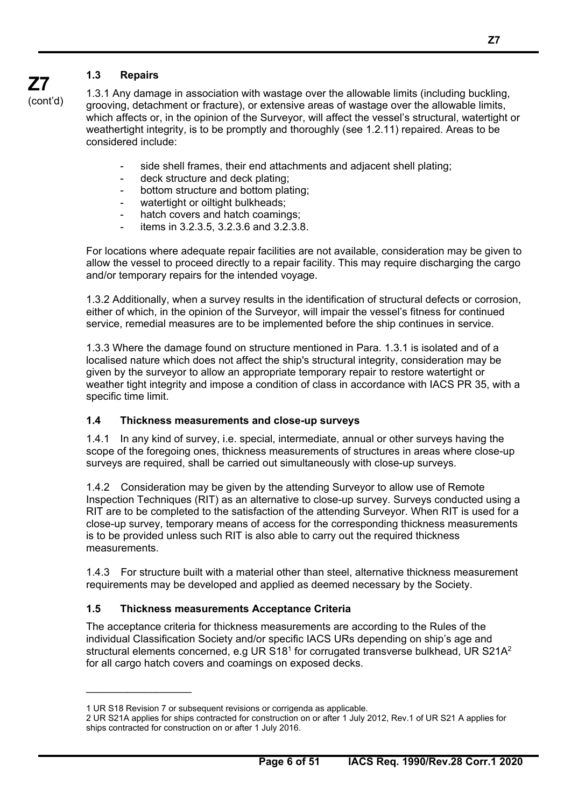## **1.3 Repairs**

**Z7**  (cont'd)

1.3.1 Any damage in association with wastage over the allowable limits (including buckling, grooving, detachment or fracture), or extensive areas of wastage over the allowable limits, which affects or, in the opinion of the Surveyor, will affect the vessel's structural, watertight or weathertight integrity, is to be promptly and thoroughly (see 1.2.11) repaired. Areas to be considered include:

- side shell frames, their end attachments and adiacent shell plating:
- deck structure and deck plating;
- bottom structure and bottom plating;
- watertight or oiltight bulkheads;
- hatch covers and hatch coamings;
- items in 3.2.3.5, 3.2.3.6 and 3.2.3.8.

For locations where adequate repair facilities are not available, consideration may be given to allow the vessel to proceed directly to a repair facility. This may require discharging the cargo and/or temporary repairs for the intended voyage.

1.3.2 Additionally, when a survey results in the identification of structural defects or corrosion, either of which, in the opinion of the Surveyor, will impair the vessel's fitness for continued service, remedial measures are to be implemented before the ship continues in service.

1.3.3 Where the damage found on structure mentioned in Para. 1.3.1 is isolated and of a localised nature which does not affect the ship's structural integrity, consideration may be given by the surveyor to allow an appropriate temporary repair to restore watertight or weather tight integrity and impose a condition of class in accordance with IACS PR 35, with a specific time limit.

## **1.4 Thickness measurements and close-up surveys**

1.4.1 In any kind of survey, i.e. special, intermediate, annual or other surveys having the scope of the foregoing ones, thickness measurements of structures in areas where close-up surveys are required, shall be carried out simultaneously with close-up surveys.

1.4.2 Consideration may be given by the attending Surveyor to allow use of Remote Inspection Techniques (RIT) as an alternative to close-up survey. Surveys conducted using a RIT are to be completed to the satisfaction of the attending Surveyor. When RIT is used for a close-up survey, temporary means of access for the corresponding thickness measurements is to be provided unless such RIT is also able to carry out the required thickness measurements.

1.4.3 For structure built with a material other than steel, alternative thickness measurement requirements may be developed and applied as deemed necessary by the Society.

## **1.5 Thickness measurements Acceptance Criteria**

The acceptance criteria for thickness measurements are according to the Rules of the individual Classification Society and/or specific IACS URs depending on ship's age and structural elements concerned, e.g UR  $S18<sup>1</sup>$  for corrugated transverse bulkhead, UR  $S21A<sup>2</sup>$ for all cargo hatch covers and coamings on exposed decks.

 $\overline{a}$ 

<sup>1</sup> UR S18 Revision 7 or subsequent revisions or corrigenda as applicable.

<sup>2</sup> UR S21A applies for ships contracted for construction on or after 1 July 2012, Rev.1 of UR S21 A applies for ships contracted for construction on or after 1 July 2016.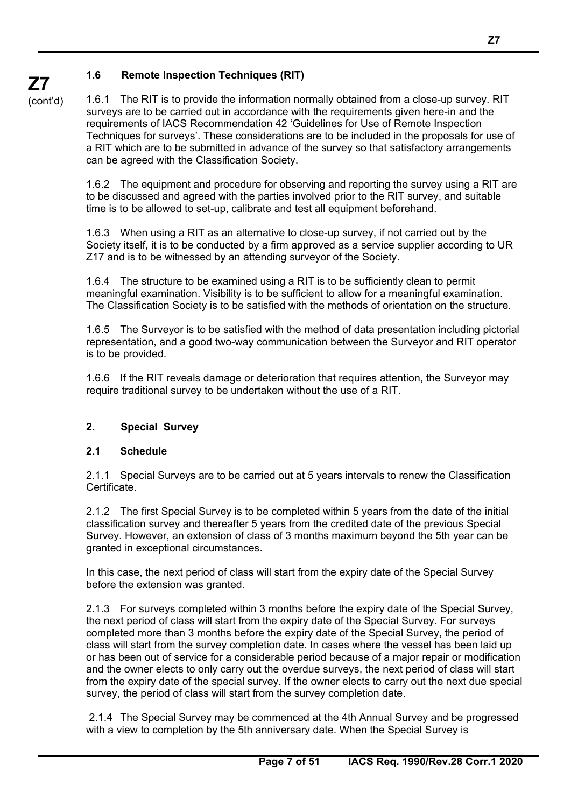## **1.6 Remote Inspection Techniques (RIT)**

**Z7**  (cont'd)

1.6.1 The RIT is to provide the information normally obtained from a close-up survey. RIT surveys are to be carried out in accordance with the requirements given here-in and the requirements of IACS Recommendation 42 'Guidelines for Use of Remote Inspection Techniques for surveys'. These considerations are to be included in the proposals for use of a RIT which are to be submitted in advance of the survey so that satisfactory arrangements can be agreed with the Classification Society.

1.6.2 The equipment and procedure for observing and reporting the survey using a RIT are to be discussed and agreed with the parties involved prior to the RIT survey, and suitable time is to be allowed to set-up, calibrate and test all equipment beforehand.

1.6.3 When using a RIT as an alternative to close-up survey, if not carried out by the Society itself, it is to be conducted by a firm approved as a service supplier according to UR Z17 and is to be witnessed by an attending surveyor of the Society.

1.6.4 The structure to be examined using a RIT is to be sufficiently clean to permit meaningful examination. Visibility is to be sufficient to allow for a meaningful examination. The Classification Society is to be satisfied with the methods of orientation on the structure.

1.6.5 The Surveyor is to be satisfied with the method of data presentation including pictorial representation, and a good two-way communication between the Surveyor and RIT operator is to be provided.

1.6.6 If the RIT reveals damage or deterioration that requires attention, the Surveyor may require traditional survey to be undertaken without the use of a RIT.

## **2. Special Survey**

## **2.1 Schedule**

 $\overline{a}$ 

2.1.1 Special Surveys are to be carried out at 5 years intervals to renew the Classification Certificate.

2.1.2 The first Special Survey is to be completed within 5 years from the date of the initial classification survey and thereafter 5 years from the credited date of the previous Special Survey. However, an extension of class of 3 months maximum beyond the 5th year can be granted in exceptional circumstances.

In this case, the next period of class will start from the expiry date of the Special Survey before the extension was granted.

2.1.3 For surveys completed within 3 months before the expiry date of the Special Survey, the next period of class will start from the expiry date of the Special Survey. For surveys completed more than 3 months before the expiry date of the Special Survey, the period of class will start from the survey completion date. In cases where the vessel has been laid up or has been out of service for a considerable period because of a major repair or modification and the owner elects to only carry out the overdue surveys, the next period of class will start from the expiry date of the special survey. If the owner elects to carry out the next due special survey, the period of class will start from the survey completion date.

 2.1.4 The Special Survey may be commenced at the 4th Annual Survey and be progressed with a view to completion by the 5th anniversary date. When the Special Survey is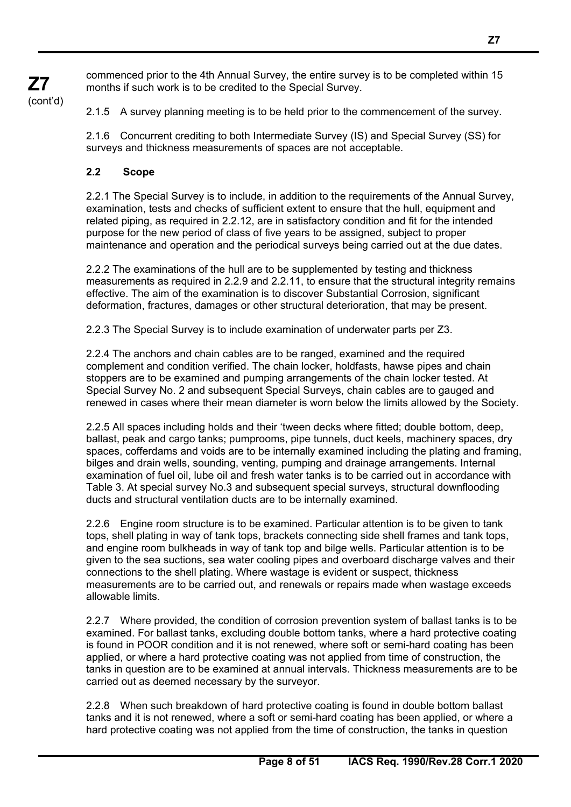commenced prior to the 4th Annual Survey, the entire survey is to be completed within 15 months if such work is to be credited to the Special Survey.

2.1.5 A survey planning meeting is to be held prior to the commencement of the survey.

2.1.6 Concurrent crediting to both Intermediate Survey (IS) and Special Survey (SS) for surveys and thickness measurements of spaces are not acceptable.

## **2.2 Scope**

**Z7**  (cont'd)

 $\overline{a}$ 

2.2.1 The Special Survey is to include, in addition to the requirements of the Annual Survey, examination, tests and checks of sufficient extent to ensure that the hull, equipment and related piping, as required in 2.2.12, are in satisfactory condition and fit for the intended purpose for the new period of class of five years to be assigned, subject to proper maintenance and operation and the periodical surveys being carried out at the due dates.

2.2.2 The examinations of the hull are to be supplemented by testing and thickness measurements as required in 2.2.9 and 2.2.11, to ensure that the structural integrity remains effective. The aim of the examination is to discover Substantial Corrosion, significant deformation, fractures, damages or other structural deterioration, that may be present.

2.2.3 The Special Survey is to include examination of underwater parts per Z3.

2.2.4 The anchors and chain cables are to be ranged, examined and the required complement and condition verified. The chain locker, holdfasts, hawse pipes and chain stoppers are to be examined and pumping arrangements of the chain locker tested. At Special Survey No. 2 and subsequent Special Surveys, chain cables are to gauged and renewed in cases where their mean diameter is worn below the limits allowed by the Society.

2.2.5 All spaces including holds and their 'tween decks where fitted; double bottom, deep, ballast, peak and cargo tanks; pumprooms, pipe tunnels, duct keels, machinery spaces, dry spaces, cofferdams and voids are to be internally examined including the plating and framing, bilges and drain wells, sounding, venting, pumping and drainage arrangements. Internal examination of fuel oil, lube oil and fresh water tanks is to be carried out in accordance with Table 3. At special survey No.3 and subsequent special surveys, structural downflooding ducts and structural ventilation ducts are to be internally examined.

2.2.6 Engine room structure is to be examined. Particular attention is to be given to tank tops, shell plating in way of tank tops, brackets connecting side shell frames and tank tops, and engine room bulkheads in way of tank top and bilge wells. Particular attention is to be given to the sea suctions, sea water cooling pipes and overboard discharge valves and their connections to the shell plating. Where wastage is evident or suspect, thickness measurements are to be carried out, and renewals or repairs made when wastage exceeds allowable limits.

2.2.7 Where provided, the condition of corrosion prevention system of ballast tanks is to be examined. For ballast tanks, excluding double bottom tanks, where a hard protective coating is found in POOR condition and it is not renewed, where soft or semi-hard coating has been applied, or where a hard protective coating was not applied from time of construction, the tanks in question are to be examined at annual intervals. Thickness measurements are to be carried out as deemed necessary by the surveyor.

2.2.8 When such breakdown of hard protective coating is found in double bottom ballast tanks and it is not renewed, where a soft or semi-hard coating has been applied, or where a hard protective coating was not applied from the time of construction, the tanks in question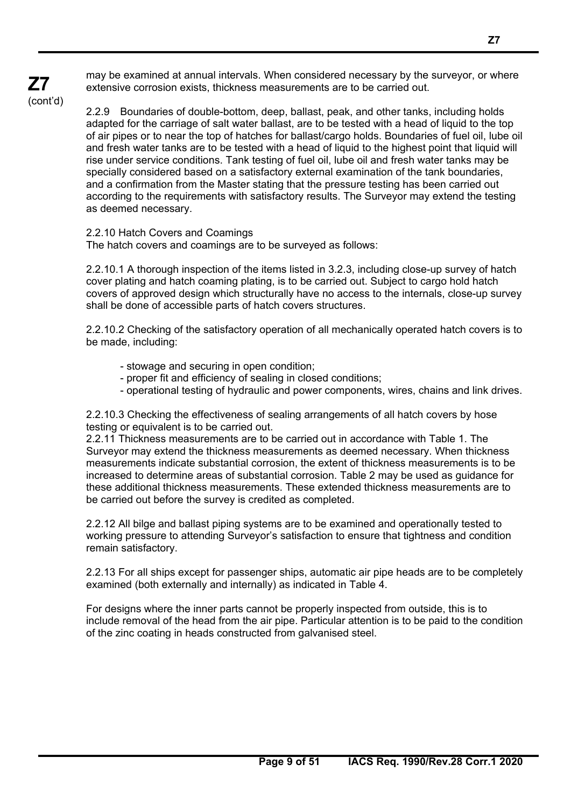may be examined at annual intervals. When considered necessary by the surveyor, or where extensive corrosion exists, thickness measurements are to be carried out.

(cont'd)

**Z7** 

 $\overline{a}$ 

2.2.9 Boundaries of double-bottom, deep, ballast, peak, and other tanks, including holds adapted for the carriage of salt water ballast, are to be tested with a head of liquid to the top of air pipes or to near the top of hatches for ballast/cargo holds. Boundaries of fuel oil, lube oil and fresh water tanks are to be tested with a head of liquid to the highest point that liquid will rise under service conditions. Tank testing of fuel oil, lube oil and fresh water tanks may be specially considered based on a satisfactory external examination of the tank boundaries, and a confirmation from the Master stating that the pressure testing has been carried out according to the requirements with satisfactory results. The Surveyor may extend the testing as deemed necessary.

2.2.10 Hatch Covers and Coamings

The hatch covers and coamings are to be surveyed as follows:

2.2.10.1 A thorough inspection of the items listed in 3.2.3, including close-up survey of hatch cover plating and hatch coaming plating, is to be carried out. Subject to cargo hold hatch covers of approved design which structurally have no access to the internals, close-up survey shall be done of accessible parts of hatch covers structures.

2.2.10.2 Checking of the satisfactory operation of all mechanically operated hatch covers is to be made, including:

- stowage and securing in open condition;
- proper fit and efficiency of sealing in closed conditions;
- operational testing of hydraulic and power components, wires, chains and link drives.

2.2.10.3 Checking the effectiveness of sealing arrangements of all hatch covers by hose testing or equivalent is to be carried out.

2.2.11 Thickness measurements are to be carried out in accordance with Table 1. The Surveyor may extend the thickness measurements as deemed necessary. When thickness measurements indicate substantial corrosion, the extent of thickness measurements is to be increased to determine areas of substantial corrosion. Table 2 may be used as guidance for these additional thickness measurements. These extended thickness measurements are to be carried out before the survey is credited as completed.

2.2.12 All bilge and ballast piping systems are to be examined and operationally tested to working pressure to attending Surveyor's satisfaction to ensure that tightness and condition remain satisfactory.

2.2.13 For all ships except for passenger ships, automatic air pipe heads are to be completely examined (both externally and internally) as indicated in Table 4.

For designs where the inner parts cannot be properly inspected from outside, this is to include removal of the head from the air pipe. Particular attention is to be paid to the condition of the zinc coating in heads constructed from galvanised steel.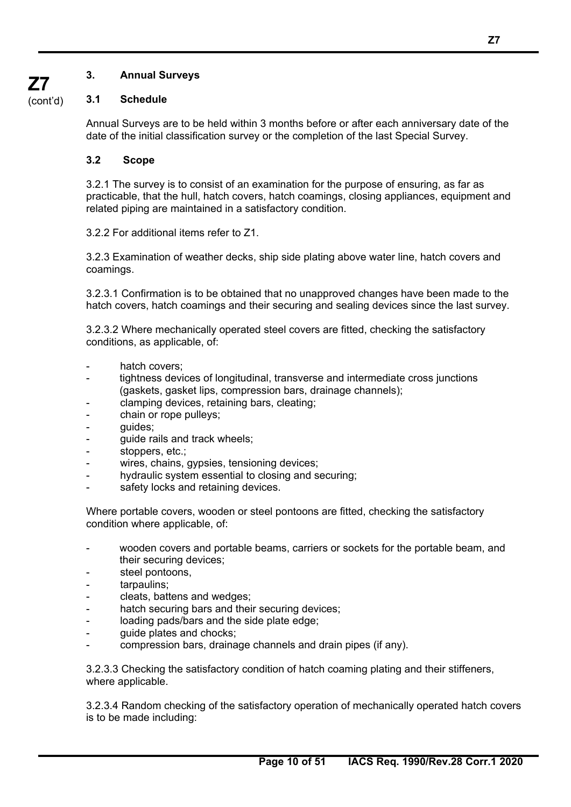## **3. Annual Surveys**

## **3.1 Schedule**

Annual Surveys are to be held within 3 months before or after each anniversary date of the date of the initial classification survey or the completion of the last Special Survey.

## **3.2 Scope**

3.2.1 The survey is to consist of an examination for the purpose of ensuring, as far as practicable, that the hull, hatch covers, hatch coamings, closing appliances, equipment and related piping are maintained in a satisfactory condition.

3.2.2 For additional items refer to Z1.

3.2.3 Examination of weather decks, ship side plating above water line, hatch covers and coamings.

3.2.3.1 Confirmation is to be obtained that no unapproved changes have been made to the hatch covers, hatch coamings and their securing and sealing devices since the last survey.

3.2.3.2 Where mechanically operated steel covers are fitted, checking the satisfactory conditions, as applicable, of:

- hatch covers:
- tightness devices of longitudinal, transverse and intermediate cross junctions (gaskets, gasket lips, compression bars, drainage channels);
- clamping devices, retaining bars, cleating;
- chain or rope pulleys;
- guides;
- quide rails and track wheels;
- stoppers, etc.;
- wires, chains, gypsies, tensioning devices;
- hydraulic system essential to closing and securing;
- safety locks and retaining devices.

Where portable covers, wooden or steel pontoons are fitted, checking the satisfactory condition where applicable, of:

- wooden covers and portable beams, carriers or sockets for the portable beam, and their securing devices;
- steel pontoons,
- tarpaulins:

 $\overline{a}$ 

- cleats, battens and wedges;
- hatch securing bars and their securing devices;
- loading pads/bars and the side plate edge;
- guide plates and chocks;
- compression bars, drainage channels and drain pipes (if any).

3.2.3.3 Checking the satisfactory condition of hatch coaming plating and their stiffeners, where applicable.

3.2.3.4 Random checking of the satisfactory operation of mechanically operated hatch covers is to be made including:

**Z7**  (cont'd)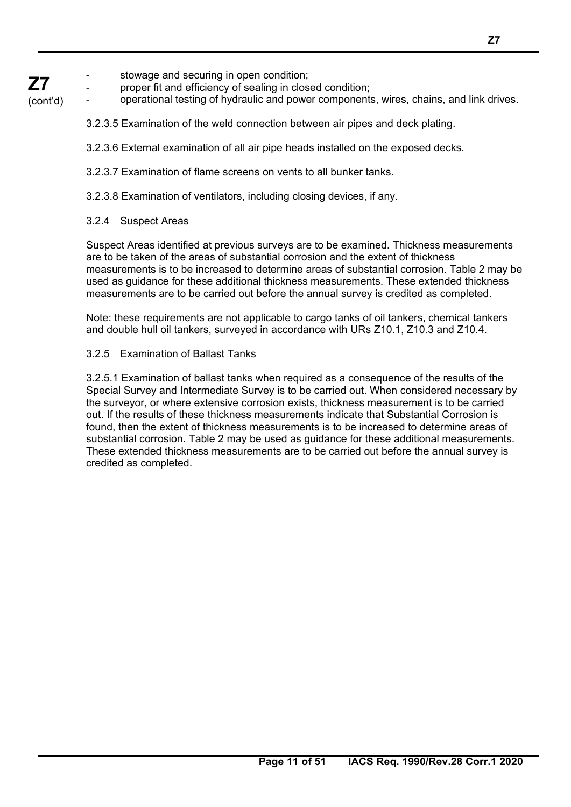#### **Z7**  stowage and securing in open condition;

proper fit and efficiency of sealing in closed condition;

(cont'd) operational testing of hydraulic and power components, wires, chains, and link drives.

- 3.2.3.5 Examination of the weld connection between air pipes and deck plating.
- 3.2.3.6 External examination of all air pipe heads installed on the exposed decks.
- 3.2.3.7 Examination of flame screens on vents to all bunker tanks.
- 3.2.3.8 Examination of ventilators, including closing devices, if any.

## 3.2.4 Suspect Areas

 $\overline{a}$ 

Suspect Areas identified at previous surveys are to be examined. Thickness measurements are to be taken of the areas of substantial corrosion and the extent of thickness measurements is to be increased to determine areas of substantial corrosion. Table 2 may be used as guidance for these additional thickness measurements. These extended thickness measurements are to be carried out before the annual survey is credited as completed.

Note: these requirements are not applicable to cargo tanks of oil tankers, chemical tankers and double hull oil tankers, surveyed in accordance with URs Z10.1, Z10.3 and Z10.4.

## 3.2.5 Examination of Ballast Tanks

3.2.5.1 Examination of ballast tanks when required as a consequence of the results of the Special Survey and Intermediate Survey is to be carried out. When considered necessary by the surveyor, or where extensive corrosion exists, thickness measurement is to be carried out. If the results of these thickness measurements indicate that Substantial Corrosion is found, then the extent of thickness measurements is to be increased to determine areas of substantial corrosion. Table 2 may be used as guidance for these additional measurements. These extended thickness measurements are to be carried out before the annual survey is credited as completed.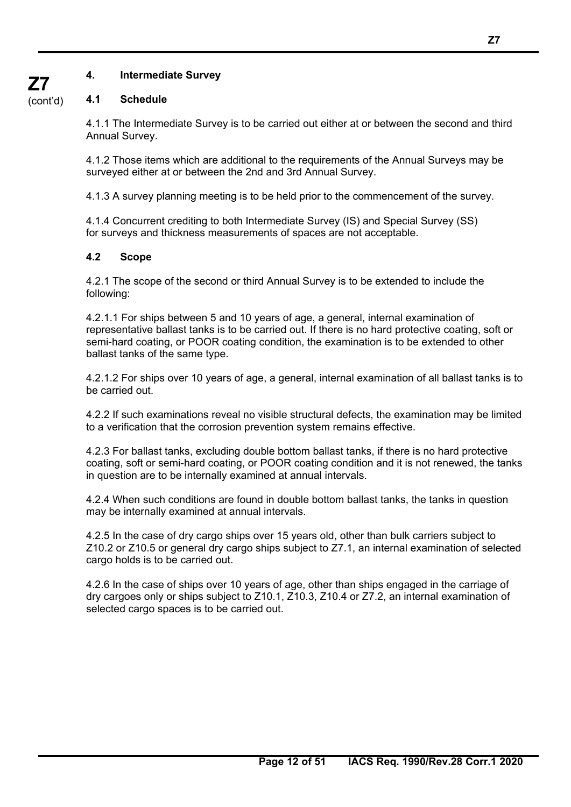## **4. Intermediate Survey**

## **4.1 Schedule**

4.1.1 The Intermediate Survey is to be carried out either at or between the second and third Annual Survey.

4.1.2 Those items which are additional to the requirements of the Annual Surveys may be surveyed either at or between the 2nd and 3rd Annual Survey.

4.1.3 A survey planning meeting is to be held prior to the commencement of the survey.

4.1.4 Concurrent crediting to both Intermediate Survey (IS) and Special Survey (SS) for surveys and thickness measurements of spaces are not acceptable.

## **4.2 Scope**

 $\overline{a}$ 

4.2.1 The scope of the second or third Annual Survey is to be extended to include the following:

4.2.1.1 For ships between 5 and 10 years of age, a general, internal examination of representative ballast tanks is to be carried out. If there is no hard protective coating, soft or semi-hard coating, or POOR coating condition, the examination is to be extended to other ballast tanks of the same type.

4.2.1.2 For ships over 10 years of age, a general, internal examination of all ballast tanks is to be carried out.

4.2.2 If such examinations reveal no visible structural defects, the examination may be limited to a verification that the corrosion prevention system remains effective.

4.2.3 For ballast tanks, excluding double bottom ballast tanks, if there is no hard protective coating, soft or semi-hard coating, or POOR coating condition and it is not renewed, the tanks in question are to be internally examined at annual intervals.

4.2.4 When such conditions are found in double bottom ballast tanks, the tanks in question may be internally examined at annual intervals.

4.2.5 In the case of dry cargo ships over 15 years old, other than bulk carriers subject to Z10.2 or Z10.5 or general dry cargo ships subject to Z7.1, an internal examination of selected cargo holds is to be carried out.

4.2.6 In the case of ships over 10 years of age, other than ships engaged in the carriage of dry cargoes only or ships subject to Z10.1, Z10.3, Z10.4 or Z7.2, an internal examination of selected cargo spaces is to be carried out.

(cont'd)

**Z7**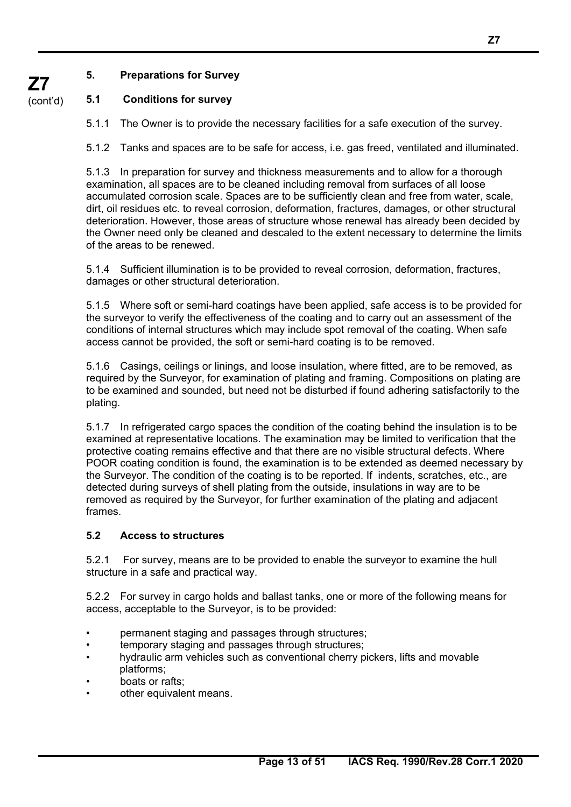## **5. Preparations for Survey**

#### (cont'd) **5.1 Conditions for survey**

5.1.1 The Owner is to provide the necessary facilities for a safe execution of the survey.

5.1.2 Tanks and spaces are to be safe for access, i.e. gas freed, ventilated and illuminated.

5.1.3 In preparation for survey and thickness measurements and to allow for a thorough examination, all spaces are to be cleaned including removal from surfaces of all loose accumulated corrosion scale. Spaces are to be sufficiently clean and free from water, scale, dirt, oil residues etc. to reveal corrosion, deformation, fractures, damages, or other structural deterioration. However, those areas of structure whose renewal has already been decided by the Owner need only be cleaned and descaled to the extent necessary to determine the limits of the areas to be renewed.

5.1.4 Sufficient illumination is to be provided to reveal corrosion, deformation, fractures, damages or other structural deterioration.

5.1.5 Where soft or semi-hard coatings have been applied, safe access is to be provided for the surveyor to verify the effectiveness of the coating and to carry out an assessment of the conditions of internal structures which may include spot removal of the coating. When safe access cannot be provided, the soft or semi-hard coating is to be removed.

5.1.6 Casings, ceilings or linings, and loose insulation, where fitted, are to be removed, as required by the Surveyor, for examination of plating and framing. Compositions on plating are to be examined and sounded, but need not be disturbed if found adhering satisfactorily to the plating.

5.1.7 In refrigerated cargo spaces the condition of the coating behind the insulation is to be examined at representative locations. The examination may be limited to verification that the protective coating remains effective and that there are no visible structural defects. Where POOR coating condition is found, the examination is to be extended as deemed necessary by the Surveyor. The condition of the coating is to be reported. If indents, scratches, etc., are detected during surveys of shell plating from the outside, insulations in way are to be removed as required by the Surveyor, for further examination of the plating and adjacent frames.

## **5.2 Access to structures**

5.2.1 For survey, means are to be provided to enable the surveyor to examine the hull structure in a safe and practical way.

5.2.2 For survey in cargo holds and ballast tanks, one or more of the following means for access, acceptable to the Surveyor, is to be provided:

- permanent staging and passages through structures;
- temporary staging and passages through structures;
- hydraulic arm vehicles such as conventional cherry pickers, lifts and movable platforms;
- boats or rafts:

 $\overline{a}$ 

other equivalent means.

**Z7** 

**Z7**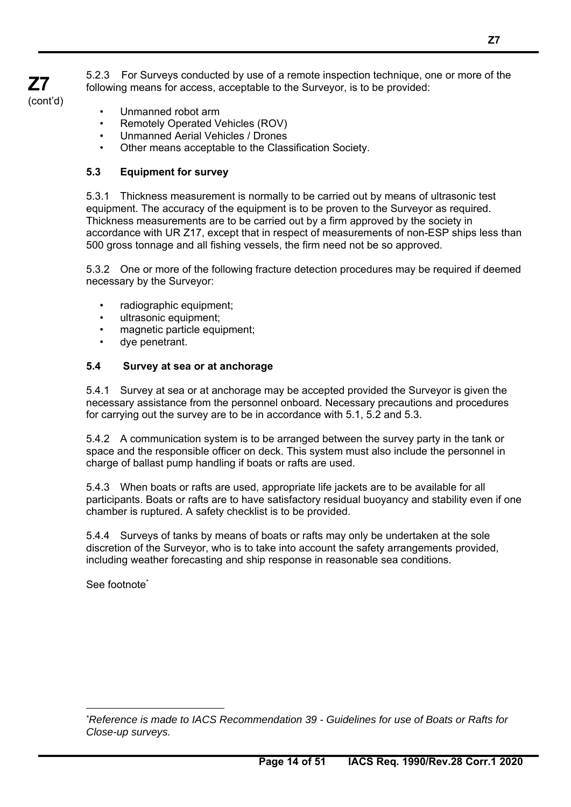5.2.3 For Surveys conducted by use of a remote inspection technique, one or more of the following means for access, acceptable to the Surveyor, is to be provided:

- **Z7** 
	- Unmanned robot arm

**Z7**  (cont'd)

- Remotely Operated Vehicles (ROV)
- Unmanned Aerial Vehicles / Drones
- Other means acceptable to the Classification Society.

## **5.3 Equipment for survey**

5.3.1 Thickness measurement is normally to be carried out by means of ultrasonic test equipment. The accuracy of the equipment is to be proven to the Surveyor as required. Thickness measurements are to be carried out by a firm approved by the society in accordance with UR Z17, except that in respect of measurements of non-ESP ships less than 500 gross tonnage and all fishing vessels, the firm need not be so approved.

5.3.2 One or more of the following fracture detection procedures may be required if deemed necessary by the Surveyor:

- radiographic equipment;
- ultrasonic equipment;
- magnetic particle equipment;
- dye penetrant.

## **5.4 Survey at sea or at anchorage**

5.4.1 Survey at sea or at anchorage may be accepted provided the Surveyor is given the necessary assistance from the personnel onboard. Necessary precautions and procedures for carrying out the survey are to be in accordance with 5.1, 5.2 and 5.3.

5.4.2 A communication system is to be arranged between the survey party in the tank or space and the responsible officer on deck. This system must also include the personnel in charge of ballast pump handling if boats or rafts are used.

5.4.3 When boats or rafts are used, appropriate life jackets are to be available for all participants. Boats or rafts are to have satisfactory residual buoyancy and stability even if one chamber is ruptured. A safety checklist is to be provided.

5.4.4 Surveys of tanks by means of boats or rafts may only be undertaken at the sole discretion of the Surveyor, who is to take into account the safety arrangements provided, including weather forecasting and ship response in reasonable sea conditions.

See footnote\*

 $\overline{a}$ 

*<sup>\*</sup> Reference is made to IACS Recommendation 39 - Guidelines for use of Boats or Rafts for Close-up surveys.*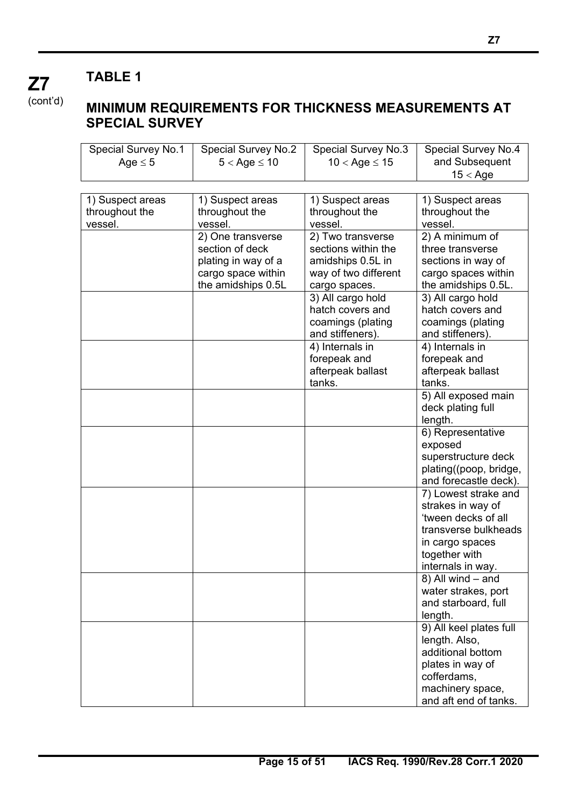$\overline{a}$ 

(cont'd)

**Z7** 

## **MINIMUM REQUIREMENTS FOR THICKNESS MEASUREMENTS AT SPECIAL SURVEY**

| <b>Special Survey No.1</b> | <b>Special Survey No.2</b> | Special Survey No.3  | Special Survey No.4     |
|----------------------------|----------------------------|----------------------|-------------------------|
| Age $\leq$ 5               | $5 <$ Age $\leq 10$        | $10 <$ Age $\le 15$  | and Subsequent          |
|                            |                            |                      | $15 <$ Age              |
|                            |                            |                      |                         |
| 1) Suspect areas           | 1) Suspect areas           | 1) Suspect areas     | 1) Suspect areas        |
| throughout the             | throughout the             | throughout the       | throughout the          |
| vessel.                    | vessel.                    | vessel.              | vessel.                 |
|                            | 2) One transverse          | 2) Two transverse    | 2) A minimum of         |
|                            | section of deck            | sections within the  | three transverse        |
|                            | plating in way of a        | amidships 0.5L in    | sections in way of      |
|                            | cargo space within         | way of two different | cargo spaces within     |
|                            | the amidships 0.5L         | cargo spaces.        | the amidships 0.5L.     |
|                            |                            | 3) All cargo hold    | 3) All cargo hold       |
|                            |                            | hatch covers and     | hatch covers and        |
|                            |                            | coamings (plating    | coamings (plating       |
|                            |                            | and stiffeners).     | and stiffeners).        |
|                            |                            | 4) Internals in      | 4) Internals in         |
|                            |                            | forepeak and         | forepeak and            |
|                            |                            | afterpeak ballast    | afterpeak ballast       |
|                            |                            | tanks.               | tanks.                  |
|                            |                            |                      | 5) All exposed main     |
|                            |                            |                      | deck plating full       |
|                            |                            |                      | length.                 |
|                            |                            |                      | 6) Representative       |
|                            |                            |                      | exposed                 |
|                            |                            |                      | superstructure deck     |
|                            |                            |                      | plating((poop, bridge,  |
|                            |                            |                      | and forecastle deck).   |
|                            |                            |                      | 7) Lowest strake and    |
|                            |                            |                      | strakes in way of       |
|                            |                            |                      | 'tween decks of all     |
|                            |                            |                      | transverse bulkheads    |
|                            |                            |                      | in cargo spaces         |
|                            |                            |                      | together with           |
|                            |                            |                      | internals in way.       |
|                            |                            |                      | 8) All wind - and       |
|                            |                            |                      | water strakes, port     |
|                            |                            |                      | and starboard, full     |
|                            |                            |                      | length.                 |
|                            |                            |                      | 9) All keel plates full |
|                            |                            |                      | length. Also,           |
|                            |                            |                      | additional bottom       |
|                            |                            |                      | plates in way of        |
|                            |                            |                      | cofferdams,             |
|                            |                            |                      | machinery space,        |
|                            |                            |                      | and aft end of tanks.   |
|                            |                            |                      |                         |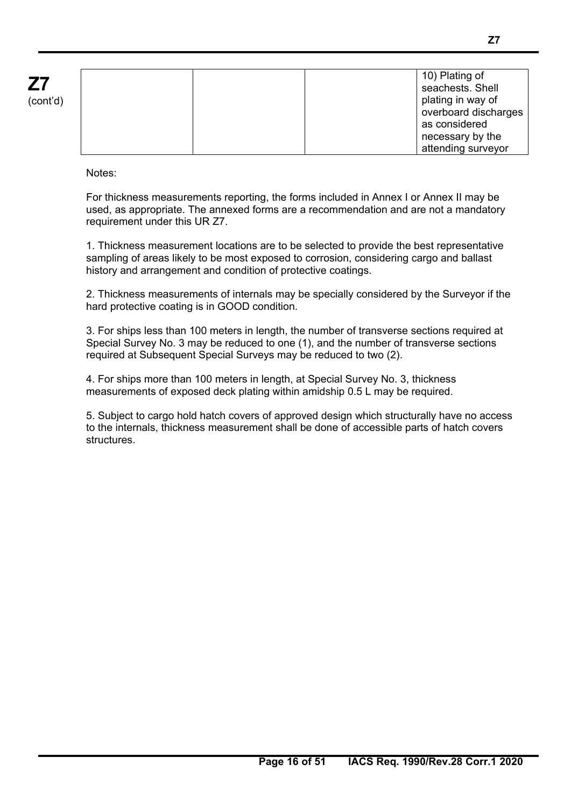| cont'd) |  |
|---------|--|

|  |  | 10) Plating of       |
|--|--|----------------------|
|  |  | seachests. Shell     |
|  |  | plating in way of    |
|  |  | overboard discharges |
|  |  | as considered        |
|  |  | necessary by the     |
|  |  | attending surveyor   |

Notes:

 $\overline{a}$ 

For thickness measurements reporting, the forms included in Annex I or Annex II may be used, as appropriate. The annexed forms are a recommendation and are not a mandatory requirement under this UR Z7.

1. Thickness measurement locations are to be selected to provide the best representative sampling of areas likely to be most exposed to corrosion, considering cargo and ballast history and arrangement and condition of protective coatings.

2. Thickness measurements of internals may be specially considered by the Surveyor if the hard protective coating is in GOOD condition.

3. For ships less than 100 meters in length, the number of transverse sections required at Special Survey No. 3 may be reduced to one (1), and the number of transverse sections required at Subsequent Special Surveys may be reduced to two (2).

4. For ships more than 100 meters in length, at Special Survey No. 3, thickness measurements of exposed deck plating within amidship 0.5 L may be required.

5. Subject to cargo hold hatch covers of approved design which structurally have no access to the internals, thickness measurement shall be done of accessible parts of hatch covers **structures**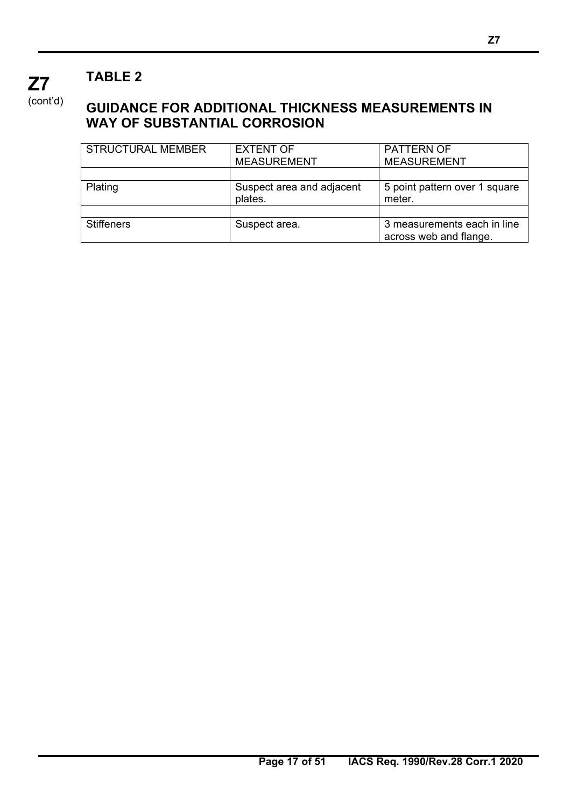$\overline{a}$ 

(cont'd)

**Z7** 

## **GUIDANCE FOR ADDITIONAL THICKNESS MEASUREMENTS IN WAY OF SUBSTANTIAL CORROSION**

| <b>STRUCTURAL MEMBER</b> | <b>EXTENT OF</b>                     | <b>PATTERN OF</b>                                     |
|--------------------------|--------------------------------------|-------------------------------------------------------|
|                          | <b>MEASUREMENT</b>                   | <b>MEASUREMENT</b>                                    |
|                          |                                      |                                                       |
| Plating                  | Suspect area and adjacent<br>plates. | 5 point pattern over 1 square<br>meter.               |
|                          |                                      |                                                       |
| <b>Stiffeners</b>        | Suspect area.                        | 3 measurements each in line<br>across web and flange. |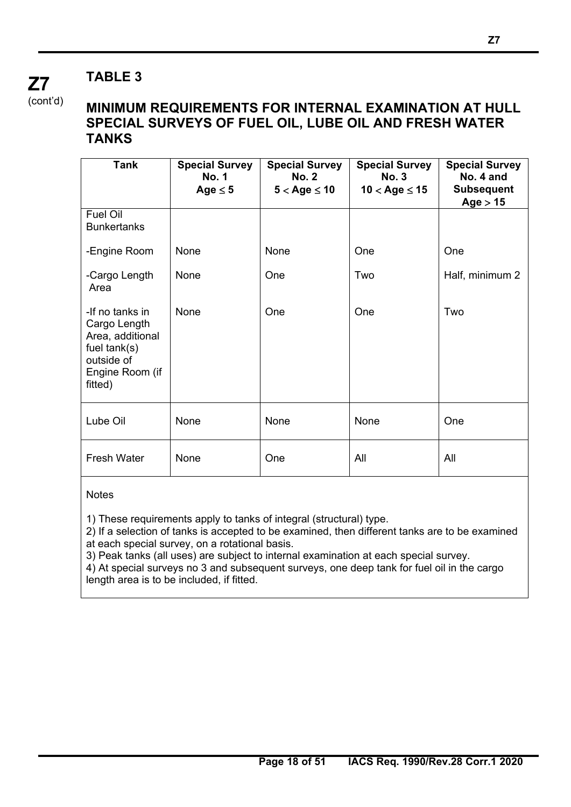(cont'd)

**Z7** 

## **MINIMUM REQUIREMENTS FOR INTERNAL EXAMINATION AT HULL SPECIAL SURVEYS OF FUEL OIL, LUBE OIL AND FRESH WATER TANKS**

| <b>Tank</b>                                                                                                       | <b>Special Survey</b><br><b>No. 1</b><br>Age $\leq$ 5 | <b>Special Survey</b><br><b>No. 2</b><br>$5 <$ Age $\leq 10$ | <b>Special Survey</b><br><b>No. 3</b><br>$10 <$ Age $\leq 15$ | <b>Special Survey</b><br>No. 4 and<br><b>Subsequent</b><br>Age > 15 |
|-------------------------------------------------------------------------------------------------------------------|-------------------------------------------------------|--------------------------------------------------------------|---------------------------------------------------------------|---------------------------------------------------------------------|
| Fuel Oil<br><b>Bunkertanks</b>                                                                                    |                                                       |                                                              |                                                               |                                                                     |
| -Engine Room                                                                                                      | None                                                  | None                                                         | One                                                           | One                                                                 |
| -Cargo Length<br>Area                                                                                             | None                                                  | One                                                          | Two                                                           | Half, minimum 2                                                     |
| -If no tanks in<br>Cargo Length<br>Area, additional<br>fuel $tank(s)$<br>outside of<br>Engine Room (if<br>fitted) | None                                                  | One                                                          | One                                                           | Two                                                                 |
| Lube Oil                                                                                                          | None                                                  | None                                                         | None                                                          | One                                                                 |
| <b>Fresh Water</b>                                                                                                | None                                                  | One                                                          | All                                                           | All                                                                 |

## **Notes**

 $\overline{a}$ 

1) These requirements apply to tanks of integral (structural) type.

2) If a selection of tanks is accepted to be examined, then different tanks are to be examined at each special survey, on a rotational basis.

3) Peak tanks (all uses) are subject to internal examination at each special survey.

4) At special surveys no 3 and subsequent surveys, one deep tank for fuel oil in the cargo length area is to be included, if fitted.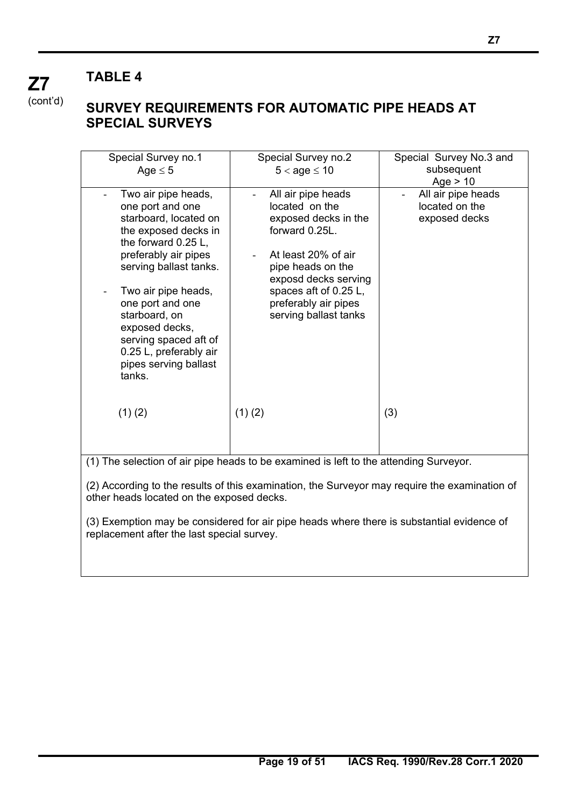$\overline{a}$ 

(cont'd)

**Z7** 

## **SURVEY REQUIREMENTS FOR AUTOMATIC PIPE HEADS AT SPECIAL SURVEYS**

| Special Survey no.1                       | Special Survey no.2                                                                           | Special Survey No.3 and |
|-------------------------------------------|-----------------------------------------------------------------------------------------------|-------------------------|
| Age $\leq$ 5                              | $5 <$ age $\leq 10$                                                                           | subsequent              |
|                                           |                                                                                               | Age $> 10$              |
| Two air pipe heads,                       | All air pipe heads                                                                            | All air pipe heads      |
| one port and one                          | located on the                                                                                | located on the          |
| starboard, located on                     | exposed decks in the                                                                          | exposed decks           |
| the exposed decks in                      | forward 0.25L.                                                                                |                         |
| the forward 0.25 L,                       |                                                                                               |                         |
| preferably air pipes                      | At least 20% of air                                                                           |                         |
| serving ballast tanks.                    | pipe heads on the                                                                             |                         |
|                                           | exposd decks serving                                                                          |                         |
| Two air pipe heads,                       | spaces aft of 0.25 L,                                                                         |                         |
| one port and one                          | preferably air pipes                                                                          |                         |
| starboard, on                             | serving ballast tanks                                                                         |                         |
| exposed decks,                            |                                                                                               |                         |
| serving spaced aft of                     |                                                                                               |                         |
|                                           |                                                                                               |                         |
| 0.25 L, preferably air                    |                                                                                               |                         |
| pipes serving ballast                     |                                                                                               |                         |
| tanks.                                    |                                                                                               |                         |
|                                           |                                                                                               |                         |
|                                           |                                                                                               |                         |
| (1)(2)                                    | $(1)$ $(2)$                                                                                   | (3)                     |
|                                           |                                                                                               |                         |
|                                           |                                                                                               |                         |
|                                           |                                                                                               |                         |
|                                           | (1) The selection of air pipe heads to be examined is left to the attending Surveyor.         |                         |
|                                           |                                                                                               |                         |
|                                           | (2) According to the results of this examination, the Surveyor may require the examination of |                         |
| other heads located on the exposed decks. |                                                                                               |                         |

(3) Exemption may be considered for air pipe heads where there is substantial evidence of replacement after the last special survey.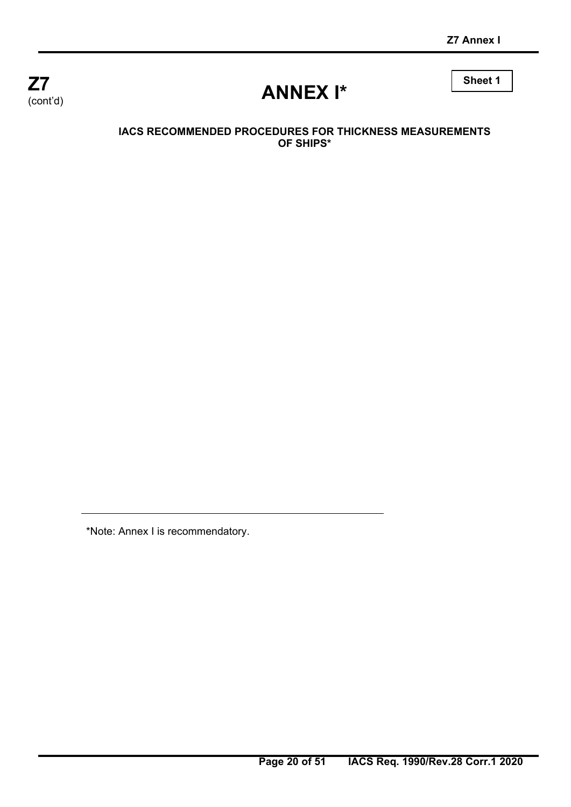

# **ANNEX I\***

**Sheet 1** 

## **IACS RECOMMENDED PROCEDURES FOR THICKNESS MEASUREMENTS OF SHIPS\***

\*Note: Annex I is recommendatory.

 $\overline{a}$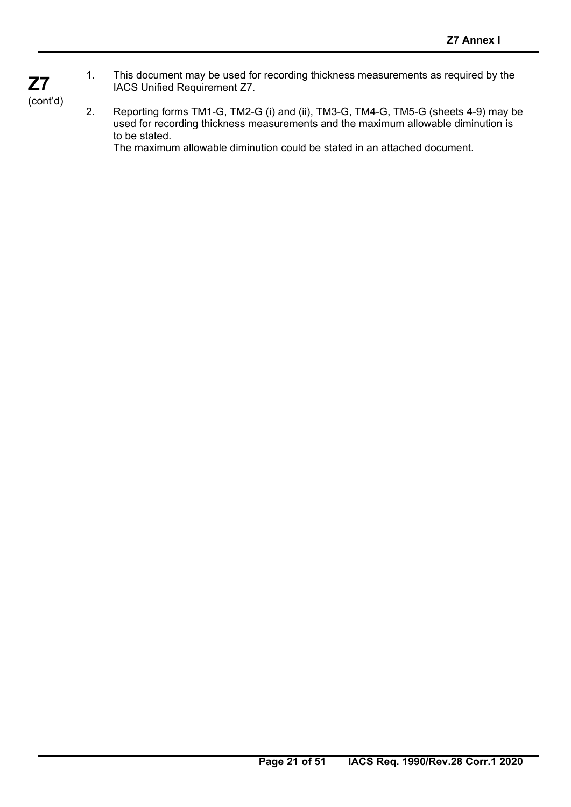1. This document may be used for recording thickness measurements as required by the IACS Unified Requirement Z7.

(cont'd)

**Z7** 

 $\overline{a}$ 

2. Reporting forms TM1-G, TM2-G (i) and (ii), TM3-G, TM4-G, TM5-G (sheets 4-9) may be used for recording thickness measurements and the maximum allowable diminution is to be stated. The maximum allowable diminution could be stated in an attached document.

**Page 21 of 51 IACS Req. 1990/Rev.28 Corr.1 2020**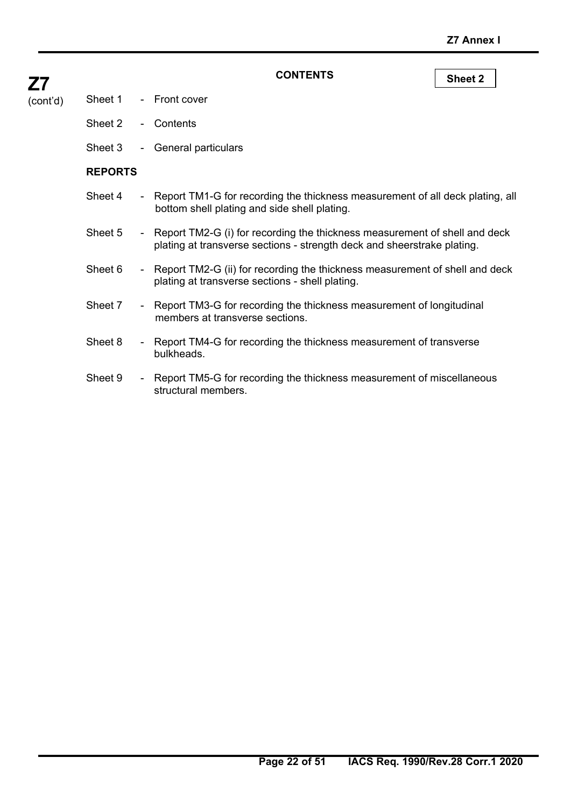| Sheet 2        | $\sim 10$ | Contents                                                                                                                                                |
|----------------|-----------|---------------------------------------------------------------------------------------------------------------------------------------------------------|
| Sheet 3        |           | - General particulars                                                                                                                                   |
| <b>REPORTS</b> |           |                                                                                                                                                         |
| Sheet 4        |           | - Report TM1-G for recording the thickness measurement of all deck plating, all<br>bottom shell plating and side shell plating.                         |
| Sheet 5        |           | - Report TM2-G (i) for recording the thickness measurement of shell and deck<br>plating at transverse sections - strength deck and sheerstrake plating. |
| Sheet 6        |           | - Report TM2-G (ii) for recording the thickness measurement of shell and deck<br>plating at transverse sections - shell plating.                        |
| Sheet 7        |           | - Report TM3-G for recording the thickness measurement of longitudinal<br>members at transverse sections.                                               |
| Sheet 8        |           | - Report TM4-G for recording the thickness measurement of transverse<br>bulkheads.                                                                      |
| Sheet 9        |           | - Report TM5-G for recording the thickness measurement of miscellaneous<br>structural members.                                                          |
|                |           |                                                                                                                                                         |
|                |           |                                                                                                                                                         |

## CONTENTS Sheet 2

# **Z7**

 $\overline{(cont'd)}$ 

Sheet 1 - Front cover

 $\overline{a}$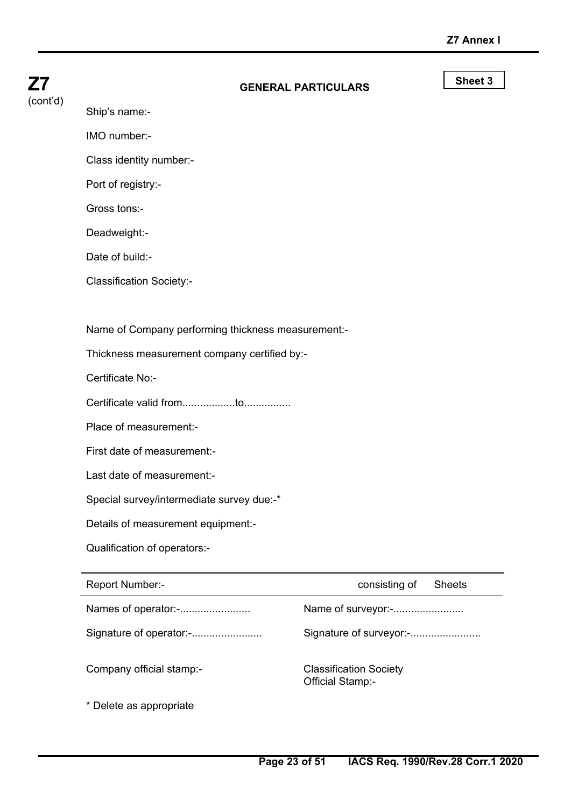|          | Names of operator:-                                | Name of surveyor:-         |                    |
|----------|----------------------------------------------------|----------------------------|--------------------|
|          | Report Number:-                                    | consisting of              | <b>Sheets</b>      |
|          | Qualification of operators:-                       |                            |                    |
|          | Details of measurement equipment:-                 |                            |                    |
|          | Special survey/intermediate survey due:-*          |                            |                    |
|          | Last date of measurement:-                         |                            |                    |
|          | First date of measurement:-                        |                            |                    |
|          | Place of measurement:-                             |                            |                    |
|          |                                                    |                            |                    |
|          | Certificate No:-                                   |                            |                    |
|          | Thickness measurement company certified by:-       |                            |                    |
|          | Name of Company performing thickness measurement:- |                            |                    |
|          |                                                    |                            |                    |
|          | <b>Classification Society:-</b>                    |                            |                    |
|          | Date of build:-                                    |                            |                    |
|          | Deadweight:-                                       |                            |                    |
|          | Gross tons:-                                       |                            |                    |
|          | Port of registry:-                                 |                            |                    |
|          | Class identity number:-                            |                            |                    |
|          | IMO number:-                                       |                            |                    |
| (cont'd) | Ship's name:-                                      |                            |                    |
| Z7       |                                                    | <b>GENERAL PARTICULARS</b> | Sheet <sub>3</sub> |
|          |                                                    |                            |                    |

Signature of operator:-........................ Signature of surveyor:-........................

Company official stamp:- Classification Society

Official Stamp:-

\* Delete as appropriate

 $\overline{a}$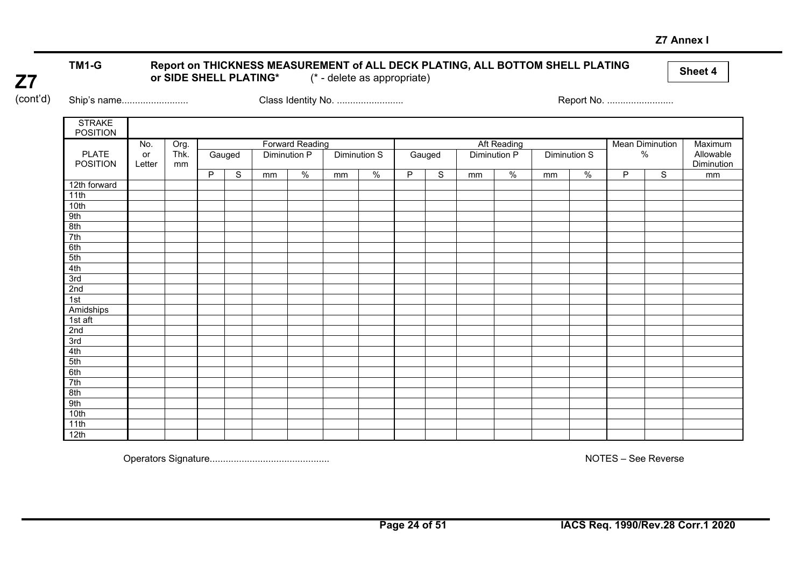#### **Z7 Annex I**

# TM1-G Report on THICKNESS MEASUREMENT of ALL DECK PLATING, ALL BOTTOM SHELL PLATING **or Side of All Accord Accord A**<br>or SIDE SHELL PLATING\* (\* - delete as appropriate)

**Z7**  (cont'd)

Ship's name......................... Class Identity No. ......................... Report No. .........................

| <b>STRAKE</b><br><b>POSITION</b> |        |      |   |                          |  |                        |    |               |   |        |    |               |    |               |   |                        |            |
|----------------------------------|--------|------|---|--------------------------|--|------------------------|----|---------------|---|--------|----|---------------|----|---------------|---|------------------------|------------|
|                                  | No.    | Org. |   |                          |  | <b>Forward Reading</b> |    |               |   |        |    | Aft Reading   |    |               |   | <b>Mean Diminution</b> | Maximum    |
| <b>PLATE</b>                     | or     | Thk. |   | Gauged                   |  | Diminution P           |    | Diminution S  |   | Gauged |    | Diminution P  |    | Diminution S  |   | $\%$                   | Allowable  |
| <b>POSITION</b>                  | Letter | mm   |   |                          |  |                        |    |               |   |        |    |               |    |               |   |                        | Diminution |
|                                  |        |      | P | $\frac{0}{0}$<br>S<br>mm |  |                        | mm | $\frac{0}{6}$ | P | S      | mm | $\frac{0}{0}$ | mm | $\frac{0}{0}$ | P | S                      | mm         |
| 12th forward                     |        |      |   |                          |  |                        |    |               |   |        |    |               |    |               |   |                        |            |
| 11th                             |        |      |   |                          |  |                        |    |               |   |        |    |               |    |               |   |                        |            |
| 10th                             |        |      |   |                          |  |                        |    |               |   |        |    |               |    |               |   |                        |            |
| 9th                              |        |      |   |                          |  |                        |    |               |   |        |    |               |    |               |   |                        |            |
| 8th                              |        |      |   |                          |  |                        |    |               |   |        |    |               |    |               |   |                        |            |
| 7th                              |        |      |   |                          |  |                        |    |               |   |        |    |               |    |               |   |                        |            |
| 6th                              |        |      |   |                          |  |                        |    |               |   |        |    |               |    |               |   |                        |            |
| 5th                              |        |      |   |                          |  |                        |    |               |   |        |    |               |    |               |   |                        |            |
| 4th                              |        |      |   |                          |  |                        |    |               |   |        |    |               |    |               |   |                        |            |
| 3rd                              |        |      |   |                          |  |                        |    |               |   |        |    |               |    |               |   |                        |            |
| 2nd                              |        |      |   |                          |  |                        |    |               |   |        |    |               |    |               |   |                        |            |
| 1st                              |        |      |   |                          |  |                        |    |               |   |        |    |               |    |               |   |                        |            |
| Amidships                        |        |      |   |                          |  |                        |    |               |   |        |    |               |    |               |   |                        |            |
| $1st$ aft                        |        |      |   |                          |  |                        |    |               |   |        |    |               |    |               |   |                        |            |
| 2nd                              |        |      |   |                          |  |                        |    |               |   |        |    |               |    |               |   |                        |            |
| 3rd                              |        |      |   |                          |  |                        |    |               |   |        |    |               |    |               |   |                        |            |
| 4th                              |        |      |   |                          |  |                        |    |               |   |        |    |               |    |               |   |                        |            |
| 5th                              |        |      |   |                          |  |                        |    |               |   |        |    |               |    |               |   |                        |            |
| 6th                              |        |      |   |                          |  |                        |    |               |   |        |    |               |    |               |   |                        |            |
| 7th                              |        |      |   |                          |  |                        |    |               |   |        |    |               |    |               |   |                        |            |
| 8th                              |        |      |   |                          |  |                        |    |               |   |        |    |               |    |               |   |                        |            |
| 9th                              |        |      |   |                          |  |                        |    |               |   |        |    |               |    |               |   |                        |            |
| 10th                             |        |      |   |                          |  |                        |    |               |   |        |    |               |    |               |   |                        |            |
| 11th                             |        |      |   |                          |  |                        |    |               |   |        |    |               |    |               |   |                        |            |
| 12th                             |        |      |   |                          |  |                        |    |               |   |        |    |               |    |               |   |                        |            |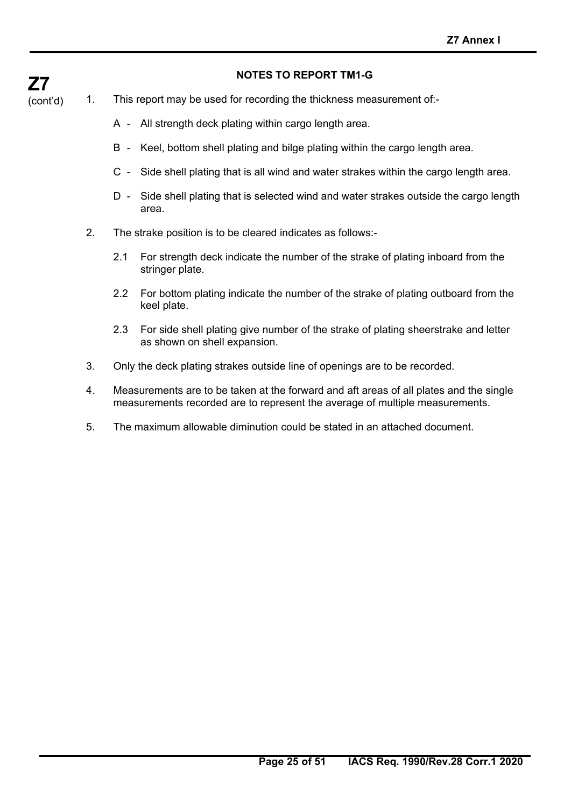# **Z7**

## **NOTES TO REPORT TM1-G**

- (cont'd) 1. This report may be used for recording the thickness measurement of:-
	- A All strength deck plating within cargo length area.
	- B Keel, bottom shell plating and bilge plating within the cargo length area.
	- C Side shell plating that is all wind and water strakes within the cargo length area.
	- D Side shell plating that is selected wind and water strakes outside the cargo length area.
	- 2. The strake position is to be cleared indicates as follows:-
		- 2.1 For strength deck indicate the number of the strake of plating inboard from the stringer plate.
		- 2.2 For bottom plating indicate the number of the strake of plating outboard from the keel plate.
		- 2.3 For side shell plating give number of the strake of plating sheerstrake and letter as shown on shell expansion.
	- 3. Only the deck plating strakes outside line of openings are to be recorded.
	- 4. Measurements are to be taken at the forward and aft areas of all plates and the single measurements recorded are to represent the average of multiple measurements.
	- 5. The maximum allowable diminution could be stated in an attached document.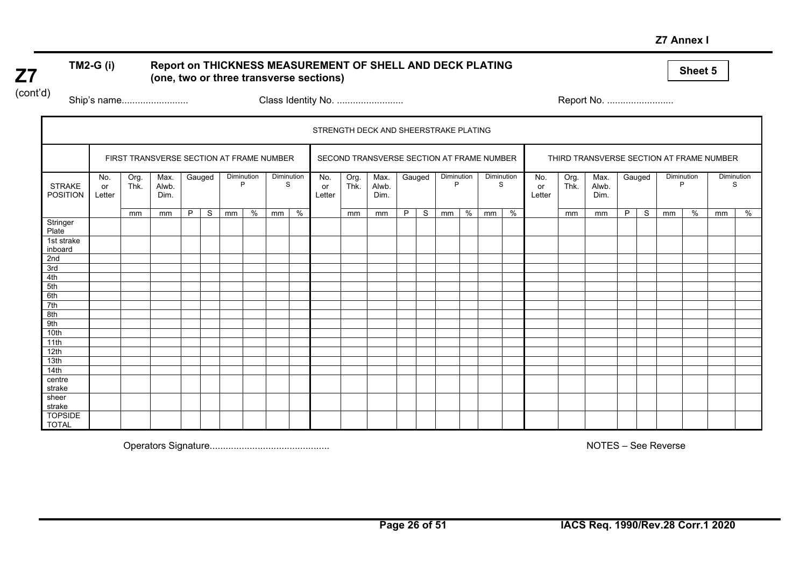**Z7 Annex I** 

# TM2-G (i) Report on THICKNESS MEASUREMENT OF SHELL AND DECK PLATING **and Sheet 5**<br>(one, two or three transverse sections)

(cont'd)

**Z7** 

Ship's name......................... Class Identity No. ......................... Report No. .........................

|                                  |                     |              |                                          |        |    |            |   |                 |   |                     |              | STRENGTH DECK AND SHEERSTRAKE PLATING     |        |   |                 |   |                 |      |                     |              |                                          |        |              |                 |   |                 |   |
|----------------------------------|---------------------|--------------|------------------------------------------|--------|----|------------|---|-----------------|---|---------------------|--------------|-------------------------------------------|--------|---|-----------------|---|-----------------|------|---------------------|--------------|------------------------------------------|--------|--------------|-----------------|---|-----------------|---|
|                                  |                     |              | FIRST TRANSVERSE SECTION AT FRAME NUMBER |        |    |            |   |                 |   |                     |              | SECOND TRANSVERSE SECTION AT FRAME NUMBER |        |   |                 |   |                 |      |                     |              | THIRD TRANSVERSE SECTION AT FRAME NUMBER |        |              |                 |   |                 |   |
| <b>STRAKE</b><br><b>POSITION</b> | No.<br>or<br>Letter | Org.<br>Thk. | Max.<br>Alwb.<br>Dim.                    | Gauged |    | Diminution | D | Diminution<br>S |   | No.<br>or<br>Letter | Org.<br>Thk. | Max.<br>Alwb.<br>Dim.                     | Gauged |   | Diminution<br>P |   | Diminution<br>S |      | No.<br>or<br>Letter | Org.<br>Thk. | Max.<br>Alwb.<br>Dim.                    | Gauged |              | Diminution<br>P |   | Diminution<br>S |   |
|                                  |                     | mm           | mm                                       | P      | S. | mm         | % | mm              | % |                     | mm           | mm                                        | P      | S | mm              | % | mm              | $\%$ |                     | mm           | mm                                       | P      | <sub>S</sub> | mm              | % | mm              | % |
| Stringer<br>Plate                |                     |              |                                          |        |    |            |   |                 |   |                     |              |                                           |        |   |                 |   |                 |      |                     |              |                                          |        |              |                 |   |                 |   |
| 1st strake<br>inboard            |                     |              |                                          |        |    |            |   |                 |   |                     |              |                                           |        |   |                 |   |                 |      |                     |              |                                          |        |              |                 |   |                 |   |
| 2nd                              |                     |              |                                          |        |    |            |   |                 |   |                     |              |                                           |        |   |                 |   |                 |      |                     |              |                                          |        |              |                 |   |                 |   |
| 3rd                              |                     |              |                                          |        |    |            |   |                 |   |                     |              |                                           |        |   |                 |   |                 |      |                     |              |                                          |        |              |                 |   |                 |   |
| 4th                              |                     |              |                                          |        |    |            |   |                 |   |                     |              |                                           |        |   |                 |   |                 |      |                     |              |                                          |        |              |                 |   |                 |   |
| 5th                              |                     |              |                                          |        |    |            |   |                 |   |                     |              |                                           |        |   |                 |   |                 |      |                     |              |                                          |        |              |                 |   |                 |   |
| 6th                              |                     |              |                                          |        |    |            |   |                 |   |                     |              |                                           |        |   |                 |   |                 |      |                     |              |                                          |        |              |                 |   |                 |   |
| 7th                              |                     |              |                                          |        |    |            |   |                 |   |                     |              |                                           |        |   |                 |   |                 |      |                     |              |                                          |        |              |                 |   |                 |   |
| 8th                              |                     |              |                                          |        |    |            |   |                 |   |                     |              |                                           |        |   |                 |   |                 |      |                     |              |                                          |        |              |                 |   |                 |   |
| 9th                              |                     |              |                                          |        |    |            |   |                 |   |                     |              |                                           |        |   |                 |   |                 |      |                     |              |                                          |        |              |                 |   |                 |   |
| 10th                             |                     |              |                                          |        |    |            |   |                 |   |                     |              |                                           |        |   |                 |   |                 |      |                     |              |                                          |        |              |                 |   |                 |   |
| 11th                             |                     |              |                                          |        |    |            |   |                 |   |                     |              |                                           |        |   |                 |   |                 |      |                     |              |                                          |        |              |                 |   |                 |   |
| 12th                             |                     |              |                                          |        |    |            |   |                 |   |                     |              |                                           |        |   |                 |   |                 |      |                     |              |                                          |        |              |                 |   |                 |   |
| 13th                             |                     |              |                                          |        |    |            |   |                 |   |                     |              |                                           |        |   |                 |   |                 |      |                     |              |                                          |        |              |                 |   |                 |   |
| 14th                             |                     |              |                                          |        |    |            |   |                 |   |                     |              |                                           |        |   |                 |   |                 |      |                     |              |                                          |        |              |                 |   |                 |   |
| centre                           |                     |              |                                          |        |    |            |   |                 |   |                     |              |                                           |        |   |                 |   |                 |      |                     |              |                                          |        |              |                 |   |                 |   |
| strake                           |                     |              |                                          |        |    |            |   |                 |   |                     |              |                                           |        |   |                 |   |                 |      |                     |              |                                          |        |              |                 |   |                 |   |
| sheer<br>strake                  |                     |              |                                          |        |    |            |   |                 |   |                     |              |                                           |        |   |                 |   |                 |      |                     |              |                                          |        |              |                 |   |                 |   |
| <b>TOPSIDE</b><br><b>TOTAL</b>   |                     |              |                                          |        |    |            |   |                 |   |                     |              |                                           |        |   |                 |   |                 |      |                     |              |                                          |        |              |                 |   |                 |   |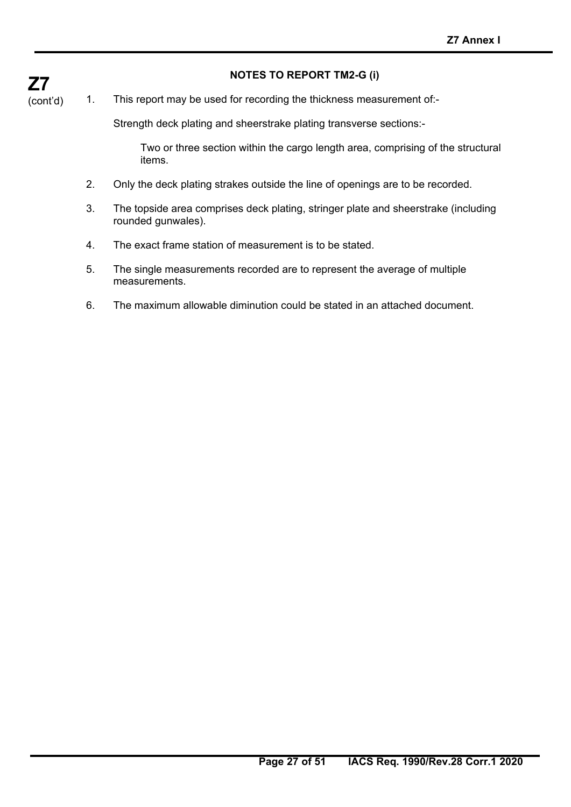### **NOTES TO REPORT TM2-G (i)**

1. This report may be used for recording the thickness measurement of:-

Strength deck plating and sheerstrake plating transverse sections:-

 Two or three section within the cargo length area, comprising of the structural items.

- 2. Only the deck plating strakes outside the line of openings are to be recorded.
- 3. The topside area comprises deck plating, stringer plate and sheerstrake (including rounded gunwales).
- 4. The exact frame station of measurement is to be stated.
- 5. The single measurements recorded are to represent the average of multiple measurements.
- 6. The maximum allowable diminution could be stated in an attached document.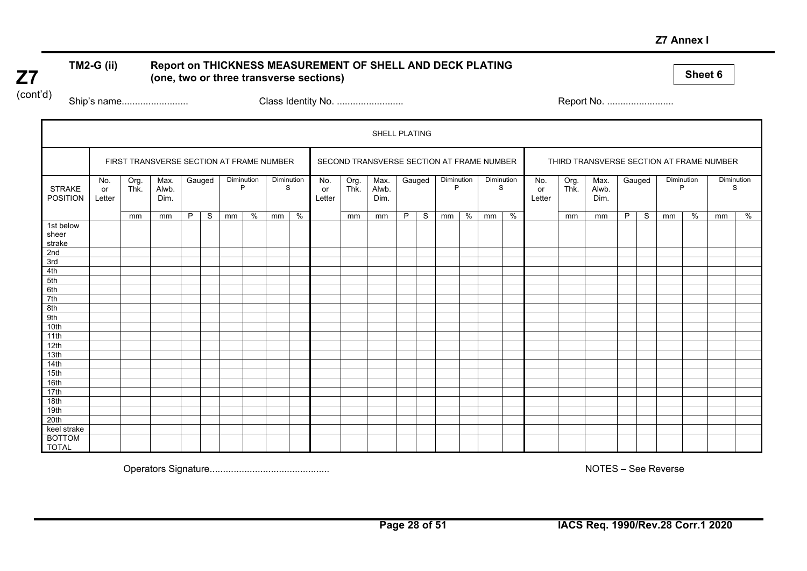#### **Z7 Annex I**

# TM2-G (ii) Report on THICKNESS MEASUREMENT OF SHELL AND DECK PLATING **(a)** Report on THICKNESS MEASUREMENT OF SHELL AND DECK PLATING **and the sections** of three transverse sections)

(cont'd)

**Z7** 

Ship's name......................... Class Identity No. ......................... Report No. .........................

|                                  |                     |              |                                          |   |        |            |   |                 |      |                     |              | SHELL PLATING                             |    |        |                 |   |                 |   |                     |              |                                          |    |        |    |                 |                 |   |  |
|----------------------------------|---------------------|--------------|------------------------------------------|---|--------|------------|---|-----------------|------|---------------------|--------------|-------------------------------------------|----|--------|-----------------|---|-----------------|---|---------------------|--------------|------------------------------------------|----|--------|----|-----------------|-----------------|---|--|
|                                  |                     |              | FIRST TRANSVERSE SECTION AT FRAME NUMBER |   |        |            |   |                 |      |                     |              | SECOND TRANSVERSE SECTION AT FRAME NUMBER |    |        |                 |   |                 |   |                     |              | THIRD TRANSVERSE SECTION AT FRAME NUMBER |    |        |    |                 |                 |   |  |
| <b>STRAKE</b><br><b>POSITION</b> | No.<br>or<br>Letter | Org.<br>Thk. | Max.<br>Alwb.<br>Dim.                    |   | Gauged | Diminution | D | Diminution<br>S |      | No.<br>or<br>Letter | Org.<br>Thk. | Max.<br>Alwb.<br>Dim.                     |    | Gauged | Diminution<br>P |   | Diminution<br>S |   | No.<br>or<br>Letter | Org.<br>Thk. | Max.<br>Alwb.<br>Dim.                    |    | Gauged |    | Diminution<br>P | Diminution<br>S |   |  |
|                                  |                     | mm           | mm                                       | P | S.     | mm         | % | mm              | $\%$ |                     | mm           | mm                                        | P. | S      | mm              | % | mm              | % |                     | mm           | mm                                       | P. | S      | mm | %               | mm              | % |  |
| 1st below<br>sheer<br>strake     |                     |              |                                          |   |        |            |   |                 |      |                     |              |                                           |    |        |                 |   |                 |   |                     |              |                                          |    |        |    |                 |                 |   |  |
| 2nd                              |                     |              |                                          |   |        |            |   |                 |      |                     |              |                                           |    |        |                 |   |                 |   |                     |              |                                          |    |        |    |                 |                 |   |  |
| 3rd                              |                     |              |                                          |   |        |            |   |                 |      |                     |              |                                           |    |        |                 |   |                 |   |                     |              |                                          |    |        |    |                 |                 |   |  |
| 4th                              |                     |              |                                          |   |        |            |   |                 |      |                     |              |                                           |    |        |                 |   |                 |   |                     |              |                                          |    |        |    |                 |                 |   |  |
| 5th                              |                     |              |                                          |   |        |            |   |                 |      |                     |              |                                           |    |        |                 |   |                 |   |                     |              |                                          |    |        |    |                 |                 |   |  |
| 6th                              |                     |              |                                          |   |        |            |   |                 |      |                     |              |                                           |    |        |                 |   |                 |   |                     |              |                                          |    |        |    |                 |                 |   |  |
| 7th                              |                     |              |                                          |   |        |            |   |                 |      |                     |              |                                           |    |        |                 |   |                 |   |                     |              |                                          |    |        |    |                 |                 |   |  |
| 8th                              |                     |              |                                          |   |        |            |   |                 |      |                     |              |                                           |    |        |                 |   |                 |   |                     |              |                                          |    |        |    |                 |                 |   |  |
| 9th                              |                     |              |                                          |   |        |            |   |                 |      |                     |              |                                           |    |        |                 |   |                 |   |                     |              |                                          |    |        |    |                 |                 |   |  |
| 10th                             |                     |              |                                          |   |        |            |   |                 |      |                     |              |                                           |    |        |                 |   |                 |   |                     |              |                                          |    |        |    |                 |                 |   |  |
| 11th                             |                     |              |                                          |   |        |            |   |                 |      |                     |              |                                           |    |        |                 |   |                 |   |                     |              |                                          |    |        |    |                 |                 |   |  |
| 12th                             |                     |              |                                          |   |        |            |   |                 |      |                     |              |                                           |    |        |                 |   |                 |   |                     |              |                                          |    |        |    |                 |                 |   |  |
| 13th                             |                     |              |                                          |   |        |            |   |                 |      |                     |              |                                           |    |        |                 |   |                 |   |                     |              |                                          |    |        |    |                 |                 |   |  |
| 14th                             |                     |              |                                          |   |        |            |   |                 |      |                     |              |                                           |    |        |                 |   |                 |   |                     |              |                                          |    |        |    |                 |                 |   |  |
| 15th                             |                     |              |                                          |   |        |            |   |                 |      |                     |              |                                           |    |        |                 |   |                 |   |                     |              |                                          |    |        |    |                 |                 |   |  |
| 16th                             |                     |              |                                          |   |        |            |   |                 |      |                     |              |                                           |    |        |                 |   |                 |   |                     |              |                                          |    |        |    |                 |                 |   |  |
| 17th                             |                     |              |                                          |   |        |            |   |                 |      |                     |              |                                           |    |        |                 |   |                 |   |                     |              |                                          |    |        |    |                 |                 |   |  |
| 18th                             |                     |              |                                          |   |        |            |   |                 |      |                     |              |                                           |    |        |                 |   |                 |   |                     |              |                                          |    |        |    |                 |                 |   |  |
| 19th                             |                     |              |                                          |   |        |            |   |                 |      |                     |              |                                           |    |        |                 |   |                 |   |                     |              |                                          |    |        |    |                 |                 |   |  |
| 20th                             |                     |              |                                          |   |        |            |   |                 |      |                     |              |                                           |    |        |                 |   |                 |   |                     |              |                                          |    |        |    |                 |                 |   |  |
| keel strake                      |                     |              |                                          |   |        |            |   |                 |      |                     |              |                                           |    |        |                 |   |                 |   |                     |              |                                          |    |        |    |                 |                 |   |  |
| <b>BOTTOM</b><br><b>TOTAL</b>    |                     |              |                                          |   |        |            |   |                 |      |                     |              |                                           |    |        |                 |   |                 |   |                     |              |                                          |    |        |    |                 |                 |   |  |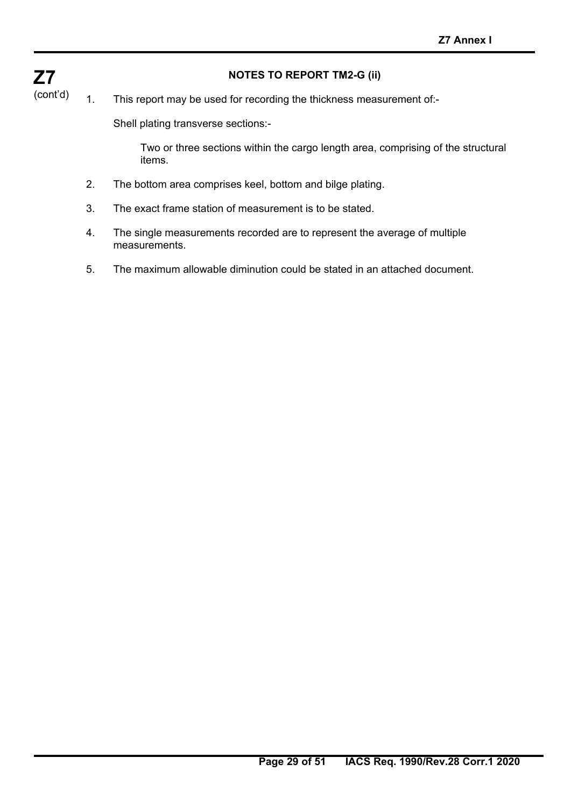## **NOTES TO REPORT TM2-G (ii)**

**Z7**  (cont'd)

## 1. This report may be used for recording the thickness measurement of:-

Shell plating transverse sections:-

 Two or three sections within the cargo length area, comprising of the structural items.

- 2. The bottom area comprises keel, bottom and bilge plating.
- 3. The exact frame station of measurement is to be stated.
- 4. The single measurements recorded are to represent the average of multiple measurements.
- 5. The maximum allowable diminution could be stated in an attached document.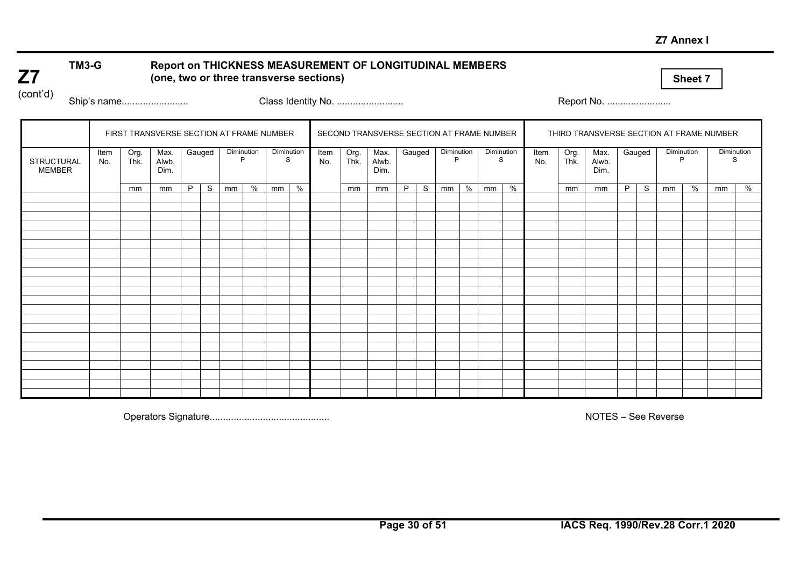#### **Z7 Annex I**

## **TM3-G Report on THICKNESS MEASUREMENT OF LONGITUDINAL MEMBERS (one, two or three transverse sections)**

**Sheet 7** 

(cont'd)

**Z7** 

Ship's name......................... Class Identity No. ......................... Report No. ........................

|                                    |             |              | FIRST TRANSVERSE SECTION AT FRAME NUMBER |   |        |            |   |                 |   |             |              | SECOND TRANSVERSE SECTION AT FRAME NUMBER |   |        |                 |   |                 |   |             |              | THIRD TRANSVERSE SECTION AT FRAME NUMBER |   |        |                 |   |            |   |
|------------------------------------|-------------|--------------|------------------------------------------|---|--------|------------|---|-----------------|---|-------------|--------------|-------------------------------------------|---|--------|-----------------|---|-----------------|---|-------------|--------------|------------------------------------------|---|--------|-----------------|---|------------|---|
| <b>STRUCTURAL</b><br><b>MEMBER</b> | Item<br>No. | Org.<br>Thk. | Max.<br>Alwb.<br>Dim.                    |   | Gauged | Diminution | P | Diminution<br>S |   | Item<br>No. | Org.<br>Thk. | Max.<br>Alwb.<br>Dim.                     |   | Gauged | Diminution<br>P |   | Diminution<br>S |   | Item<br>No. | Org.<br>Thk. | Max.<br>Alwb.<br>Dim.                    |   | Gauged | Diminution<br>P |   | Diminution | S |
|                                    |             | mm           | mm                                       | P | S.     | mm         | % | mm              | % |             | mm           | mm                                        | P | S      | mm              | % | mm              | % |             | mm           | mm                                       | P | S      | mm              | % | mm         | % |
|                                    |             |              |                                          |   |        |            |   |                 |   |             |              |                                           |   |        |                 |   |                 |   |             |              |                                          |   |        |                 |   |            |   |
|                                    |             |              |                                          |   |        |            |   |                 |   |             |              |                                           |   |        |                 |   |                 |   |             |              |                                          |   |        |                 |   |            |   |
|                                    |             |              |                                          |   |        |            |   |                 |   |             |              |                                           |   |        |                 |   |                 |   |             |              |                                          |   |        |                 |   |            |   |
|                                    |             |              |                                          |   |        |            |   |                 |   |             |              |                                           |   |        |                 |   |                 |   |             |              |                                          |   |        |                 |   |            |   |
|                                    |             |              |                                          |   |        |            |   |                 |   |             |              |                                           |   |        |                 |   |                 |   |             |              |                                          |   |        |                 |   |            |   |
|                                    |             |              |                                          |   |        |            |   |                 |   |             |              |                                           |   |        |                 |   |                 |   |             |              |                                          |   |        |                 |   |            |   |
|                                    |             |              |                                          |   |        |            |   |                 |   |             |              |                                           |   |        |                 |   |                 |   |             |              |                                          |   |        |                 |   |            |   |
|                                    |             |              |                                          |   |        |            |   |                 |   |             |              |                                           |   |        |                 |   |                 |   |             |              |                                          |   |        |                 |   |            |   |
|                                    |             |              |                                          |   |        |            |   |                 |   |             |              |                                           |   |        |                 |   |                 |   |             |              |                                          |   |        |                 |   |            |   |
|                                    |             |              |                                          |   |        |            |   |                 |   |             |              |                                           |   |        |                 |   |                 |   |             |              |                                          |   |        |                 |   |            |   |
|                                    |             |              |                                          |   |        |            |   |                 |   |             |              |                                           |   |        |                 |   |                 |   |             |              |                                          |   |        |                 |   |            |   |
|                                    |             |              |                                          |   |        |            |   |                 |   |             |              |                                           |   |        |                 |   |                 |   |             |              |                                          |   |        |                 |   |            |   |
|                                    |             |              |                                          |   |        |            |   |                 |   |             |              |                                           |   |        |                 |   |                 |   |             |              |                                          |   |        |                 |   |            |   |
|                                    |             |              |                                          |   |        |            |   |                 |   |             |              |                                           |   |        |                 |   |                 |   |             |              |                                          |   |        |                 |   |            |   |
|                                    |             |              |                                          |   |        |            |   |                 |   |             |              |                                           |   |        |                 |   |                 |   |             |              |                                          |   |        |                 |   |            |   |
|                                    |             |              |                                          |   |        |            |   |                 |   |             |              |                                           |   |        |                 |   |                 |   |             |              |                                          |   |        |                 |   |            |   |
|                                    |             |              |                                          |   |        |            |   |                 |   |             |              |                                           |   |        |                 |   |                 |   |             |              |                                          |   |        |                 |   |            |   |
|                                    |             |              |                                          |   |        |            |   |                 |   |             |              |                                           |   |        |                 |   |                 |   |             |              |                                          |   |        |                 |   |            |   |
|                                    |             |              |                                          |   |        |            |   |                 |   |             |              |                                           |   |        |                 |   |                 |   |             |              |                                          |   |        |                 |   |            |   |
|                                    |             |              |                                          |   |        |            |   |                 |   |             |              |                                           |   |        |                 |   |                 |   |             |              |                                          |   |        |                 |   |            |   |
|                                    |             |              |                                          |   |        |            |   |                 |   |             |              |                                           |   |        |                 |   |                 |   |             |              |                                          |   |        |                 |   |            |   |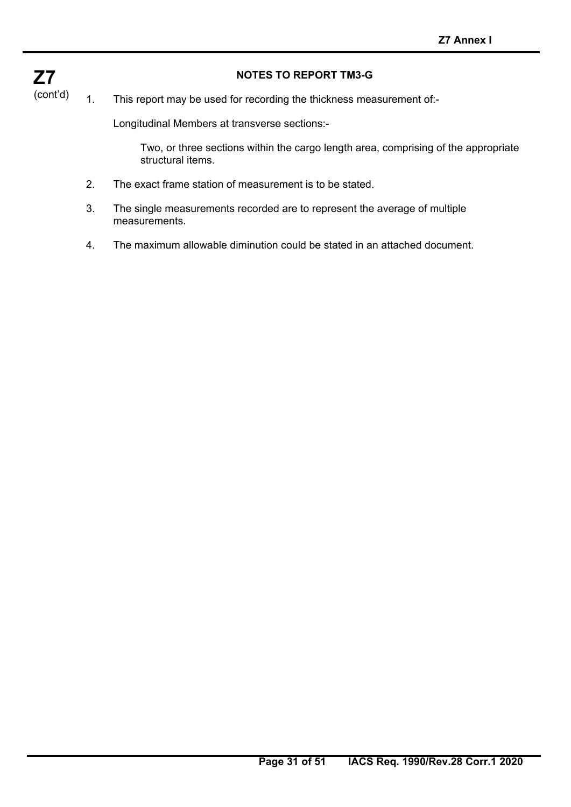## **NOTES TO REPORT TM3-G**

**Z7**  (cont'd)

## 1. This report may be used for recording the thickness measurement of:-

Longitudinal Members at transverse sections:-

 Two, or three sections within the cargo length area, comprising of the appropriate structural items.

- 2. The exact frame station of measurement is to be stated.
- 3. The single measurements recorded are to represent the average of multiple measurements.
- 4. The maximum allowable diminution could be stated in an attached document.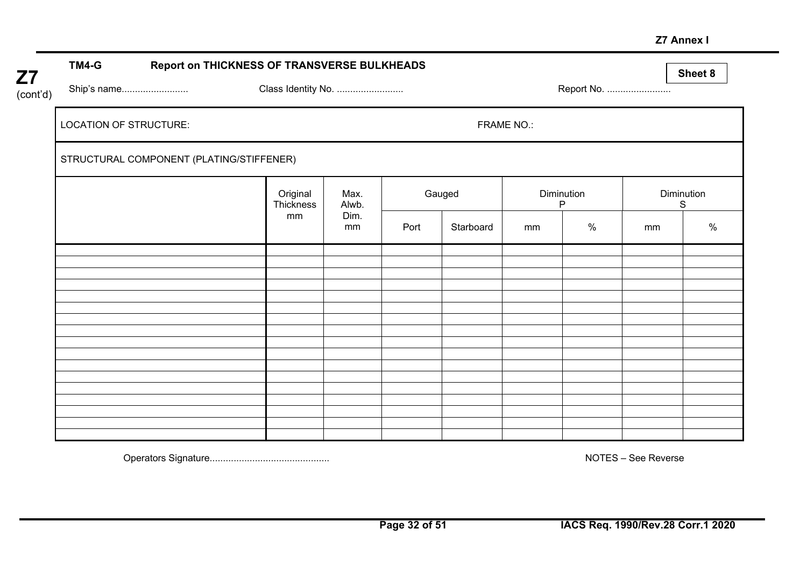#### **Z7 Annex I**

| Z7       | TM4-G                         | Report on THICKNESS OF TRANSVERSE BULKHEADS |                       |               |      |           |                            |            |    | Sheet 8    |
|----------|-------------------------------|---------------------------------------------|-----------------------|---------------|------|-----------|----------------------------|------------|----|------------|
| (cont'd) | Ship's name                   |                                             | Class Identity No.    |               |      |           |                            | Report No. |    |            |
|          | <b>LOCATION OF STRUCTURE:</b> |                                             |                       |               |      |           | FRAME NO.:                 |            |    |            |
|          |                               | STRUCTURAL COMPONENT (PLATING/STIFFENER)    |                       |               |      |           |                            |            |    |            |
|          |                               |                                             | Original<br>Thickness | Max.<br>Alwb. |      | Gauged    | Diminution<br>$\mathsf{P}$ |            | S  | Diminution |
|          |                               |                                             | mm                    | Dim.<br>mm    | Port | Starboard | mm                         | $\%$       | mm | $\%$       |
|          |                               |                                             |                       |               |      |           |                            |            |    |            |
|          |                               |                                             |                       |               |      |           |                            |            |    |            |
|          |                               |                                             |                       |               |      |           |                            |            |    |            |
|          |                               |                                             |                       |               |      |           |                            |            |    |            |
|          |                               |                                             |                       |               |      |           |                            |            |    |            |
|          |                               |                                             |                       |               |      |           |                            |            |    |            |
|          |                               |                                             |                       |               |      |           |                            |            |    |            |
|          |                               |                                             |                       |               |      |           |                            |            |    |            |
|          |                               |                                             |                       |               |      |           |                            |            |    |            |
|          |                               |                                             |                       |               |      |           |                            |            |    |            |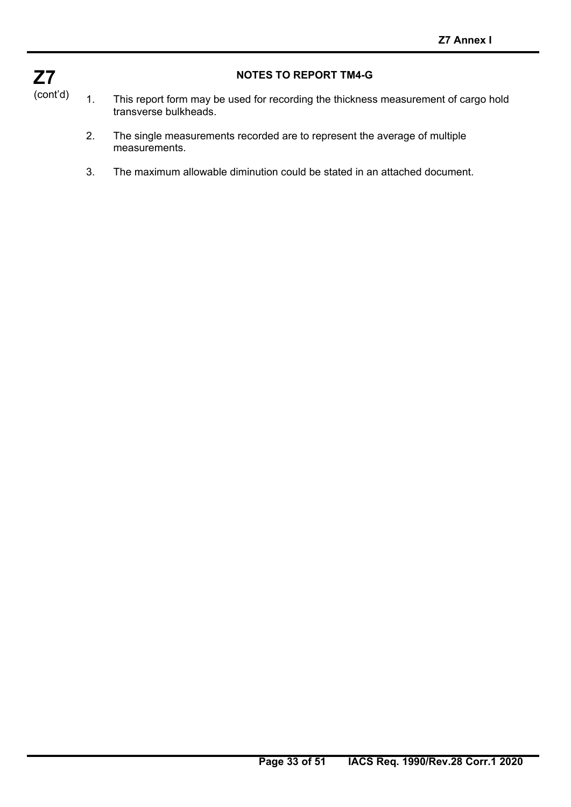

## **NOTES TO REPORT TM4-G**

- 1. This report form may be used for recording the thickness measurement of cargo hold transverse bulkheads.
	- 2. The single measurements recorded are to represent the average of multiple measurements.
	- 3. The maximum allowable diminution could be stated in an attached document.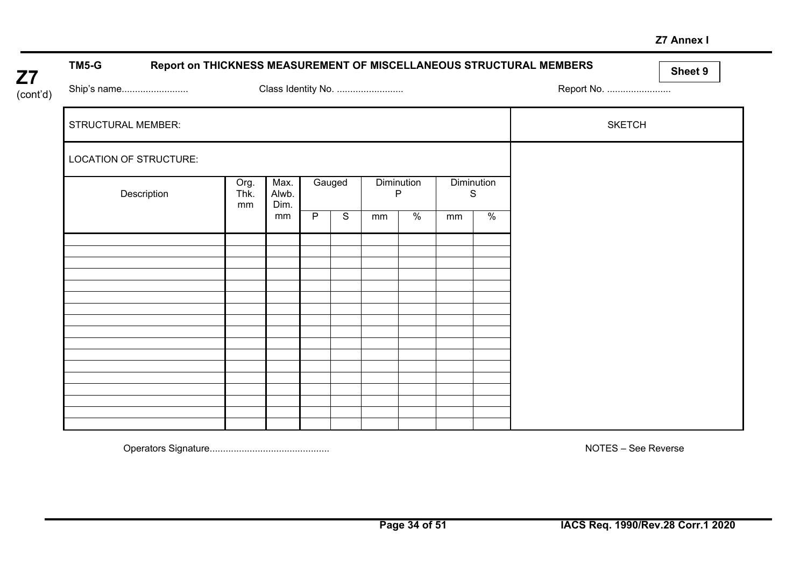#### **Z7 Annex I**

| TM5-G                     | Report on THICKNESS MEASUREMENT OF MISCELLANEOUS STRUCTURAL MEMBERS |                       |                |                |                            |               |    |                        |               | Sheet 9 |
|---------------------------|---------------------------------------------------------------------|-----------------------|----------------|----------------|----------------------------|---------------|----|------------------------|---------------|---------|
| Ship's name<br>(cont'd)   |                                                                     |                       |                |                | Class Identity No.         |               |    |                        | Report No.    |         |
| <b>STRUCTURAL MEMBER:</b> |                                                                     |                       |                |                |                            |               |    |                        | <b>SKETCH</b> |         |
| LOCATION OF STRUCTURE:    |                                                                     |                       |                |                |                            |               |    |                        |               |         |
| Description               | Org.<br>Thk.<br>mm                                                  | Max.<br>Alwb.<br>Dim. |                | Gauged         | Diminution<br>$\mathsf{P}$ |               |    | <b>Diminution</b><br>S |               |         |
|                           |                                                                     | mm                    | $\overline{P}$ | $\overline{s}$ | mm                         | $\frac{8}{6}$ | mm | $\frac{1}{6}$          |               |         |
|                           |                                                                     |                       |                |                |                            |               |    |                        |               |         |
|                           |                                                                     |                       |                |                |                            |               |    |                        |               |         |
|                           |                                                                     |                       |                |                |                            |               |    |                        |               |         |
|                           |                                                                     |                       |                |                |                            |               |    |                        |               |         |
|                           |                                                                     |                       |                |                |                            |               |    |                        |               |         |
|                           |                                                                     |                       |                |                |                            |               |    |                        |               |         |
|                           |                                                                     |                       |                |                |                            |               |    |                        |               |         |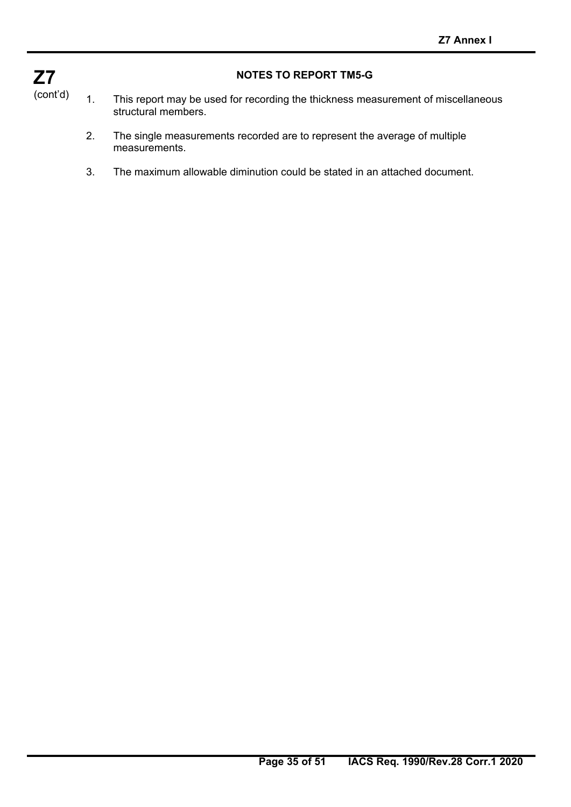

## **NOTES TO REPORT TM5-G**

- 1. This report may be used for recording the thickness measurement of miscellaneous structural members.
	- 2. The single measurements recorded are to represent the average of multiple measurements.
	- 3. The maximum allowable diminution could be stated in an attached document.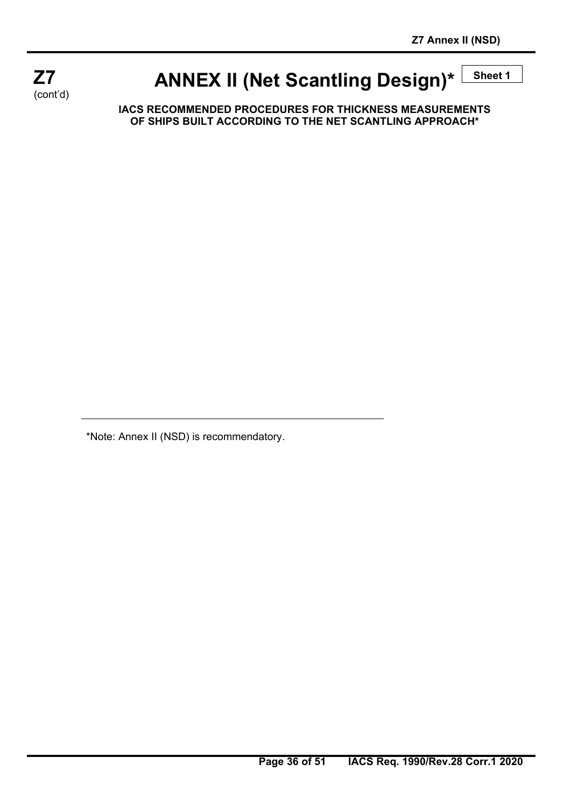

# **ANNEX II (Net Scantling Design)\***  $\frac{\text{Sheet 1}}{\text{Sheet 2}}$

**IACS RECOMMENDED PROCEDURES FOR THICKNESS MEASUREMENTS OF SHIPS BUILT ACCORDING TO THE NET SCANTLING APPROACH\*** 

\*Note: Annex II (NSD) is recommendatory.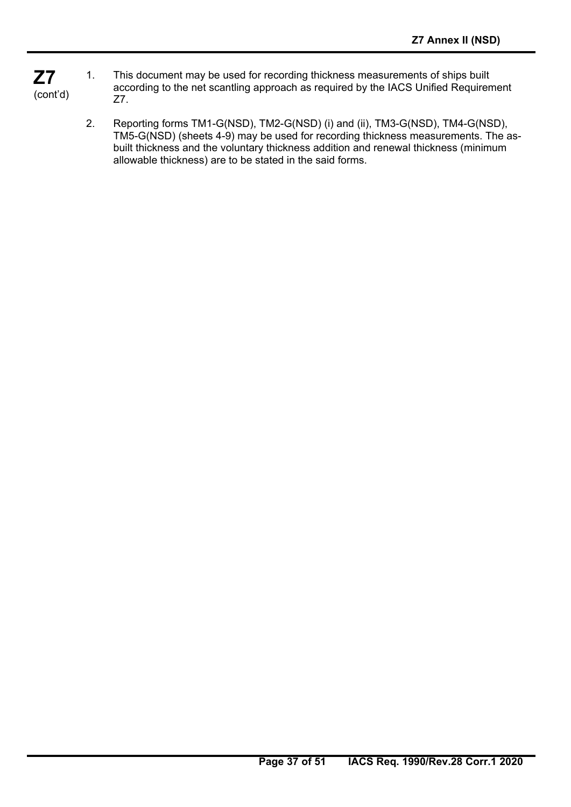- **Z7**  (cont'd) 1. This document may be used for recording thickness measurements of ships built according to the net scantling approach as required by the IACS Unified Requirement Z7.
	- 2. Reporting forms TM1-G(NSD), TM2-G(NSD) (i) and (ii), TM3-G(NSD), TM4-G(NSD), TM5-G(NSD) (sheets 4-9) may be used for recording thickness measurements. The asbuilt thickness and the voluntary thickness addition and renewal thickness (minimum allowable thickness) are to be stated in the said forms.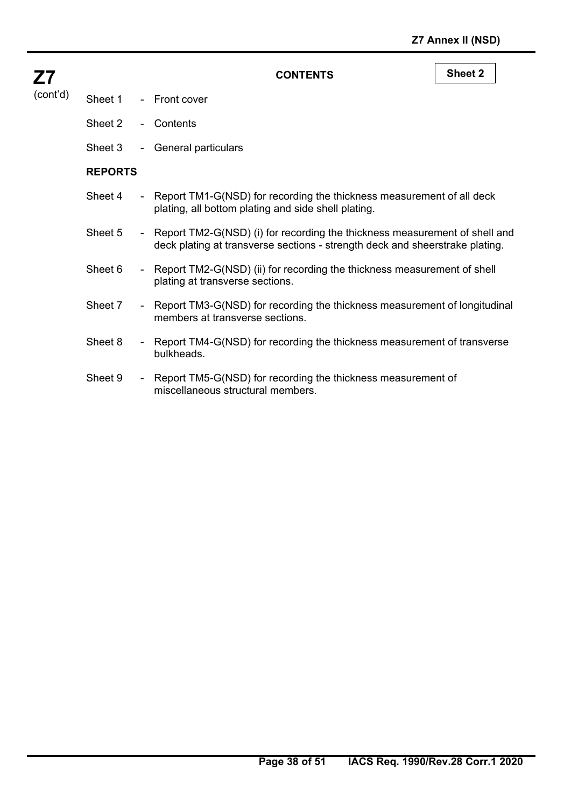| <b>Z7</b> |                |                              | <b>CONTENTS</b>                                                                                                                                              | <b>Sheet 2</b> |
|-----------|----------------|------------------------------|--------------------------------------------------------------------------------------------------------------------------------------------------------------|----------------|
| (cont'd)  | Sheet 1        | $\sim$ 10 $\pm$              | <b>Front cover</b>                                                                                                                                           |                |
|           | Sheet 2        | $\sim 10$                    | Contents                                                                                                                                                     |                |
|           | Sheet 3        | $\blacksquare$               | <b>General particulars</b>                                                                                                                                   |                |
|           | <b>REPORTS</b> |                              |                                                                                                                                                              |                |
|           | Sheet 4        |                              | - Report TM1-G(NSD) for recording the thickness measurement of all deck<br>plating, all bottom plating and side shell plating.                               |                |
|           | Sheet 5        |                              | - Report TM2-G(NSD) (i) for recording the thickness measurement of shell and<br>deck plating at transverse sections - strength deck and sheerstrake plating. |                |
|           | Sheet 6        |                              | - Report TM2-G(NSD) (ii) for recording the thickness measurement of shell<br>plating at transverse sections.                                                 |                |
|           | Sheet 7        |                              | - Report TM3-G(NSD) for recording the thickness measurement of longitudinal<br>members at transverse sections.                                               |                |
|           | Sheet 8        | $\sim$                       | Report TM4-G(NSD) for recording the thickness measurement of transverse<br>bulkheads.                                                                        |                |
|           | Sheet 9        | $\qquad \qquad \blacksquare$ | Report TM5-G(NSD) for recording the thickness measurement of<br>miscellaneous structural members.                                                            |                |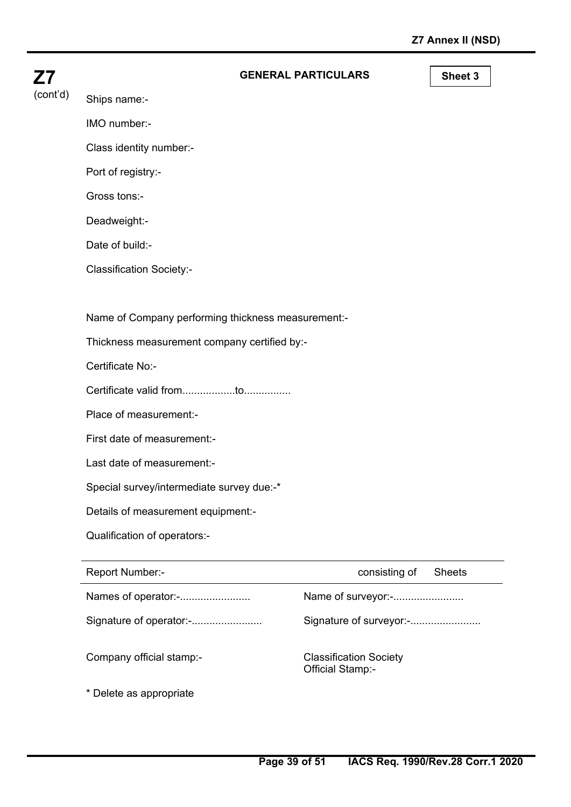| <b>Z7</b> | <b>GENERAL PARTICULARS</b>                         | Sheet 3 |
|-----------|----------------------------------------------------|---------|
| (cont'd)  | Ships name:-                                       |         |
|           | IMO number:-                                       |         |
|           | Class identity number:-                            |         |
|           | Port of registry:-                                 |         |
|           | Gross tons:-                                       |         |
|           | Deadweight:-                                       |         |
|           | Date of build:-                                    |         |
|           | <b>Classification Society:-</b>                    |         |
|           |                                                    |         |
|           | Name of Company performing thickness measurement:- |         |
|           | Thickness measurement company certified by:-       |         |
|           | Certificate No:-                                   |         |
|           |                                                    |         |
|           | Place of measurement:-                             |         |
|           | First date of measurement:-                        |         |
|           | Last date of measurement:-                         |         |

Special survey/intermediate survey due:-\*

Details of measurement equipment:-

Qualification of operators:-

| Report Number:-          | consisting of<br><b>Sheets</b>                           |
|--------------------------|----------------------------------------------------------|
| Names of operator:-      | Name of surveyor:-                                       |
| Signature of operator:-  | Signature of surveyor:-                                  |
| Company official stamp:- | <b>Classification Society</b><br><b>Official Stamp:-</b> |
| * Delete as appropriate  |                                                          |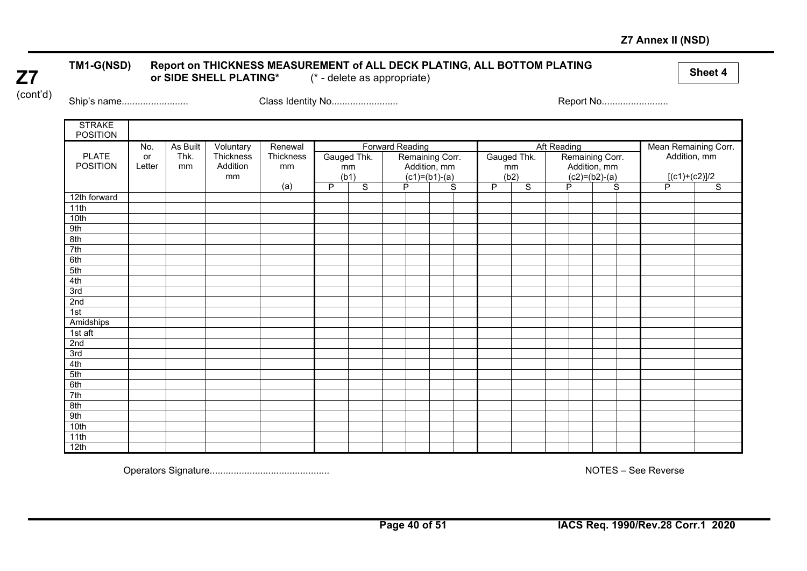## **Z7 Annex II (NSD)**

# **Z7**

# TM1-G(NSD) Report on THICKNESS MEASUREMENT of ALL DECK PLATING, ALL BOTTOM PLATING **or Side of All Accord Accord**<br>or SIDE SHELL PLATING\* (\* - delete as appropriate)

(cont'd)

Ship's name......................... Class Identity No......................... Report No.........................

| <b>STRAKE</b><br><b>POSITION</b> |        |          |           |           |   |                |                        |                 |   |              |                |                    |                 |                |                      |                |
|----------------------------------|--------|----------|-----------|-----------|---|----------------|------------------------|-----------------|---|--------------|----------------|--------------------|-----------------|----------------|----------------------|----------------|
|                                  | No.    | As Built | Voluntary | Renewal   |   |                | <b>Forward Reading</b> |                 |   |              |                | <b>Aft Reading</b> |                 |                | Mean Remaining Corr. |                |
| <b>PLATE</b>                     | or     | Thk.     | Thickness | Thickness |   | Gauged Thk.    |                        | Remaining Corr. |   |              | Gauged Thk.    |                    | Remaining Corr. |                | Addition, mm         |                |
| <b>POSITION</b>                  | Letter | mm       | Addition  | mm        |   | mm             |                        | Addition, mm    |   |              | mm             |                    | Addition, mm    |                |                      |                |
|                                  |        |          | mm        |           |   | (b1)           |                        | $(c1)=(b1)-(a)$ |   |              | (b2)           |                    | $(c2)=(b2)-(a)$ |                | $[(c1)+(c2)]/2$      |                |
|                                  |        |          |           | (a)       | P | $\overline{s}$ |                        | P               | S | $\mathsf{P}$ | $\overline{s}$ |                    | P               | $\overline{s}$ | P                    | $\overline{s}$ |
| 12th forward                     |        |          |           |           |   |                |                        |                 |   |              |                |                    |                 |                |                      |                |
| 11th                             |        |          |           |           |   |                |                        |                 |   |              |                |                    |                 |                |                      |                |
| 10th                             |        |          |           |           |   |                |                        |                 |   |              |                |                    |                 |                |                      |                |
| 9th                              |        |          |           |           |   |                |                        |                 |   |              |                |                    |                 |                |                      |                |
| 8th                              |        |          |           |           |   |                |                        |                 |   |              |                |                    |                 |                |                      |                |
| 7th                              |        |          |           |           |   |                |                        |                 |   |              |                |                    |                 |                |                      |                |
| 6th                              |        |          |           |           |   |                |                        |                 |   |              |                |                    |                 |                |                      |                |
| 5th                              |        |          |           |           |   |                |                        |                 |   |              |                |                    |                 |                |                      |                |
| 4th                              |        |          |           |           |   |                |                        |                 |   |              |                |                    |                 |                |                      |                |
| 3rd                              |        |          |           |           |   |                |                        |                 |   |              |                |                    |                 |                |                      |                |
| 2nd                              |        |          |           |           |   |                |                        |                 |   |              |                |                    |                 |                |                      |                |
| 1st                              |        |          |           |           |   |                |                        |                 |   |              |                |                    |                 |                |                      |                |
| Amidships                        |        |          |           |           |   |                |                        |                 |   |              |                |                    |                 |                |                      |                |
| 1st aft                          |        |          |           |           |   |                |                        |                 |   |              |                |                    |                 |                |                      |                |
| 2nd                              |        |          |           |           |   |                |                        |                 |   |              |                |                    |                 |                |                      |                |
| 3rd                              |        |          |           |           |   |                |                        |                 |   |              |                |                    |                 |                |                      |                |
| 4th                              |        |          |           |           |   |                |                        |                 |   |              |                |                    |                 |                |                      |                |
| 5th                              |        |          |           |           |   |                |                        |                 |   |              |                |                    |                 |                |                      |                |
| 6th                              |        |          |           |           |   |                |                        |                 |   |              |                |                    |                 |                |                      |                |
| 7th                              |        |          |           |           |   |                |                        |                 |   |              |                |                    |                 |                |                      |                |
| 8th                              |        |          |           |           |   |                |                        |                 |   |              |                |                    |                 |                |                      |                |
| 9th                              |        |          |           |           |   |                |                        |                 |   |              |                |                    |                 |                |                      |                |
| 10th                             |        |          |           |           |   |                |                        |                 |   |              |                |                    |                 |                |                      |                |
| 11th                             |        |          |           |           |   |                |                        |                 |   |              |                |                    |                 |                |                      |                |
| 12th                             |        |          |           |           |   |                |                        |                 |   |              |                |                    |                 |                |                      |                |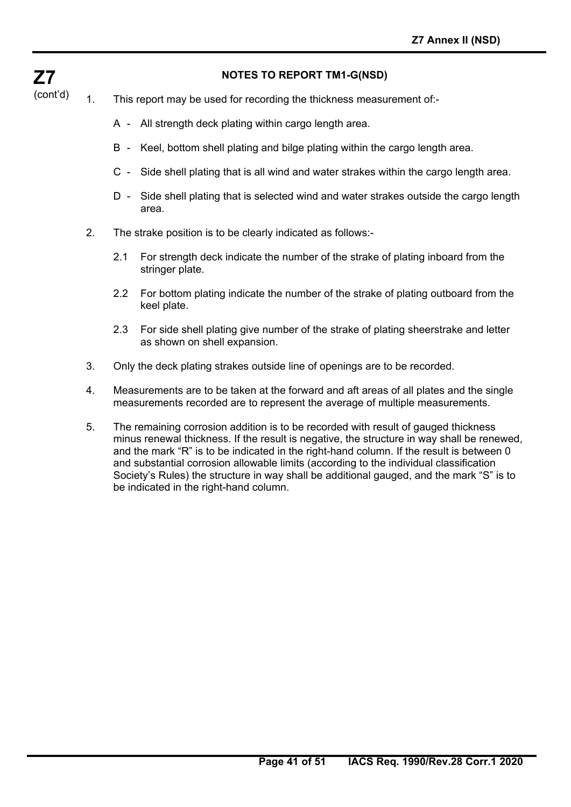## **NOTES TO REPORT TM1-G(NSD)**

(cont'd) 1. This report may be used for recording the thickness measurement of:-

**Z7** 

- A All strength deck plating within cargo length area.
- B Keel, bottom shell plating and bilge plating within the cargo length area.
- C Side shell plating that is all wind and water strakes within the cargo length area.
- D Side shell plating that is selected wind and water strakes outside the cargo length area.
- 2. The strake position is to be clearly indicated as follows:-
	- 2.1 For strength deck indicate the number of the strake of plating inboard from the stringer plate.
	- 2.2 For bottom plating indicate the number of the strake of plating outboard from the keel plate.
	- 2.3 For side shell plating give number of the strake of plating sheerstrake and letter as shown on shell expansion.
- 3. Only the deck plating strakes outside line of openings are to be recorded.
- 4. Measurements are to be taken at the forward and aft areas of all plates and the single measurements recorded are to represent the average of multiple measurements.
- 5. The remaining corrosion addition is to be recorded with result of gauged thickness minus renewal thickness. If the result is negative, the structure in way shall be renewed, and the mark "R" is to be indicated in the right-hand column. If the result is between 0 and substantial corrosion allowable limits (according to the individual classification Society's Rules) the structure in way shall be additional gauged, and the mark "S" is to be indicated in the right-hand column.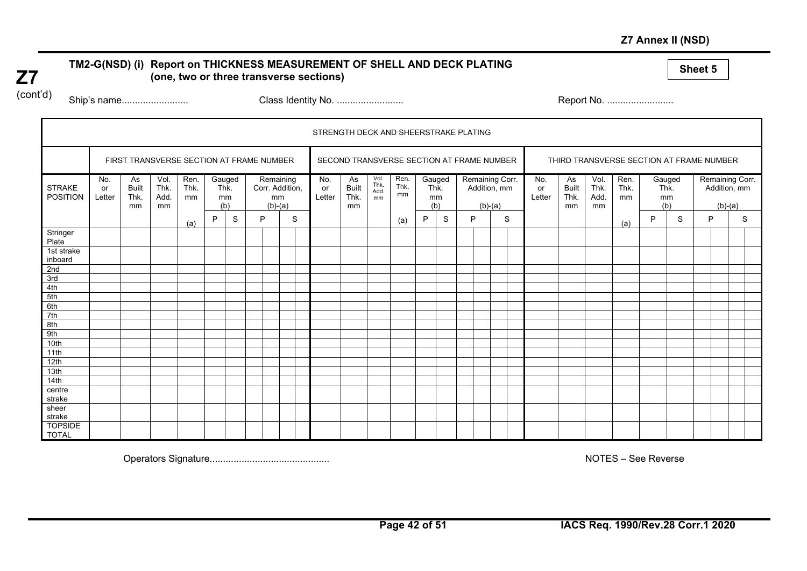## **Z7 Annex II (NSD)**

# TM2-G(NSD) (i) Report on THICKNESS MEASUREMENT OF SHELL AND DECK PLATING **(a)** sheet 5<br>(one, two or three transverse sections)

**Z7**  (cont'd)

Ship's name......................... Class Identity No. ......................... Report No. .........................

|                                  |                     |                                          |                            |                    |             |              |   |                 |                              | STRENGTH DECK AND SHEERSTRAKE PLATING |                                  |                            |                    |                             |   |   |           |                                           |                     |                                  |                                          |                    |                             |   |                                              |   |
|----------------------------------|---------------------|------------------------------------------|----------------------------|--------------------|-------------|--------------|---|-----------------|------------------------------|---------------------------------------|----------------------------------|----------------------------|--------------------|-----------------------------|---|---|-----------|-------------------------------------------|---------------------|----------------------------------|------------------------------------------|--------------------|-----------------------------|---|----------------------------------------------|---|
|                                  |                     | FIRST TRANSVERSE SECTION AT FRAME NUMBER |                            |                    |             |              |   |                 |                              |                                       |                                  |                            |                    |                             |   |   |           | SECOND TRANSVERSE SECTION AT FRAME NUMBER |                     |                                  | THIRD TRANSVERSE SECTION AT FRAME NUMBER |                    |                             |   |                                              |   |
| <b>STRAKE</b><br><b>POSITION</b> | No.<br>or<br>Letter | As<br><b>Built</b><br>Thk.<br>mm         | Vol.<br>Thk.<br>Add.<br>mm | Ren.<br>Thk.<br>mm | Thk.<br>(b) | Gauged<br>mm |   | mm<br>$(b)-(a)$ | Remaining<br>Corr. Addition, | No.<br>or<br>Letter                   | As<br><b>Built</b><br>Thk.<br>mm | Vol.<br>Thk.<br>Add.<br>mm | Ren.<br>Thk.<br>mm | Gauged<br>Thk.<br>mm<br>(b) |   |   | $(b)-(a)$ | Remaining Corr.<br>Addition, mm           | No.<br>or<br>Letter | As<br><b>Built</b><br>Thk.<br>mm | Vol.<br>Thk.<br>Add.<br>mm               | Ren.<br>Thk.<br>mm | Gauged<br>Thk.<br>mm<br>(b) |   | Remaining Corr.<br>Addition, mm<br>$(b)-(a)$ |   |
|                                  |                     |                                          |                            | (a)                | P           | S            | P |                 | S                            |                                       |                                  |                            | (a)                | P                           | S | P |           | S                                         |                     |                                  |                                          | (a)                | P                           | S | P                                            | S |
| Stringer<br>Plate                |                     |                                          |                            |                    |             |              |   |                 |                              |                                       |                                  |                            |                    |                             |   |   |           |                                           |                     |                                  |                                          |                    |                             |   |                                              |   |
| 1st strake<br>inboard            |                     |                                          |                            |                    |             |              |   |                 |                              |                                       |                                  |                            |                    |                             |   |   |           |                                           |                     |                                  |                                          |                    |                             |   |                                              |   |
| 2nd                              |                     |                                          |                            |                    |             |              |   |                 |                              |                                       |                                  |                            |                    |                             |   |   |           |                                           |                     |                                  |                                          |                    |                             |   |                                              |   |
| 3rd                              |                     |                                          |                            |                    |             |              |   |                 |                              |                                       |                                  |                            |                    |                             |   |   |           |                                           |                     |                                  |                                          |                    |                             |   |                                              |   |
| 4th<br>5th                       |                     |                                          |                            |                    |             |              |   |                 |                              |                                       |                                  |                            |                    |                             |   |   |           |                                           |                     |                                  |                                          |                    |                             |   |                                              |   |
| 6th                              |                     |                                          |                            |                    |             |              |   |                 |                              |                                       |                                  |                            |                    |                             |   |   |           |                                           |                     |                                  |                                          |                    |                             |   |                                              |   |
| 7th                              |                     |                                          |                            |                    |             |              |   |                 |                              |                                       |                                  |                            |                    |                             |   |   |           |                                           |                     |                                  |                                          |                    |                             |   |                                              |   |
| 8th                              |                     |                                          |                            |                    |             |              |   |                 |                              |                                       |                                  |                            |                    |                             |   |   |           |                                           |                     |                                  |                                          |                    |                             |   |                                              |   |
| 9th                              |                     |                                          |                            |                    |             |              |   |                 |                              |                                       |                                  |                            |                    |                             |   |   |           |                                           |                     |                                  |                                          |                    |                             |   |                                              |   |
| 10th                             |                     |                                          |                            |                    |             |              |   |                 |                              |                                       |                                  |                            |                    |                             |   |   |           |                                           |                     |                                  |                                          |                    |                             |   |                                              |   |
| 11th                             |                     |                                          |                            |                    |             |              |   |                 |                              |                                       |                                  |                            |                    |                             |   |   |           |                                           |                     |                                  |                                          |                    |                             |   |                                              |   |
| 12th                             |                     |                                          |                            |                    |             |              |   |                 |                              |                                       |                                  |                            |                    |                             |   |   |           |                                           |                     |                                  |                                          |                    |                             |   |                                              |   |
| 13th                             |                     |                                          |                            |                    |             |              |   |                 |                              |                                       |                                  |                            |                    |                             |   |   |           |                                           |                     |                                  |                                          |                    |                             |   |                                              |   |
| 14th                             |                     |                                          |                            |                    |             |              |   |                 |                              |                                       |                                  |                            |                    |                             |   |   |           |                                           |                     |                                  |                                          |                    |                             |   |                                              |   |
| centre<br>strake                 |                     |                                          |                            |                    |             |              |   |                 |                              |                                       |                                  |                            |                    |                             |   |   |           |                                           |                     |                                  |                                          |                    |                             |   |                                              |   |
| sheer<br>strake                  |                     |                                          |                            |                    |             |              |   |                 |                              |                                       |                                  |                            |                    |                             |   |   |           |                                           |                     |                                  |                                          |                    |                             |   |                                              |   |
| <b>TOPSIDE</b><br><b>TOTAL</b>   |                     |                                          |                            |                    |             |              |   |                 |                              |                                       |                                  |                            |                    |                             |   |   |           |                                           |                     |                                  |                                          |                    |                             |   |                                              |   |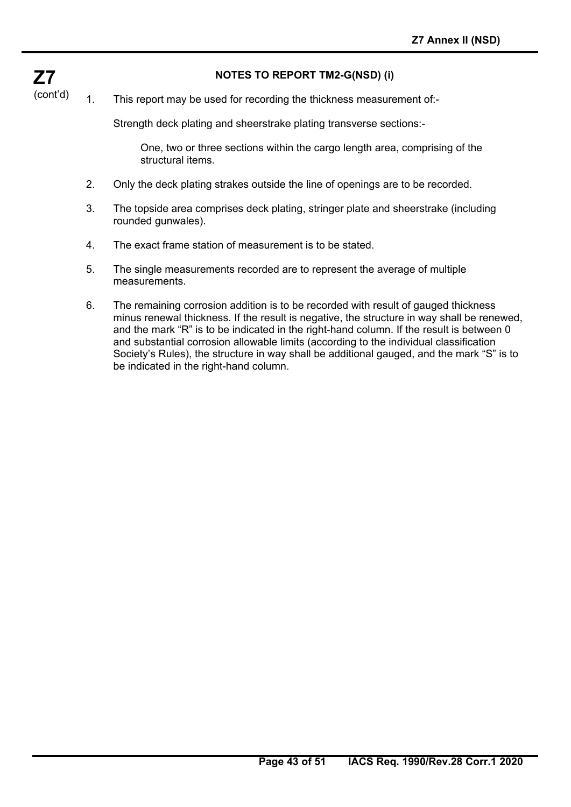## **NOTES TO REPORT TM2-G(NSD) (i)**

(cont'd) 1. This report may be used for recording the thickness measurement of:-

**Z7** 

Strength deck plating and sheerstrake plating transverse sections:-

 One, two or three sections within the cargo length area, comprising of the structural items.

- 2. Only the deck plating strakes outside the line of openings are to be recorded.
- 3. The topside area comprises deck plating, stringer plate and sheerstrake (including rounded gunwales).
- 4. The exact frame station of measurement is to be stated.
- 5. The single measurements recorded are to represent the average of multiple measurements.
- 6. The remaining corrosion addition is to be recorded with result of gauged thickness minus renewal thickness. If the result is negative, the structure in way shall be renewed, and the mark "R" is to be indicated in the right-hand column. If the result is between 0 and substantial corrosion allowable limits (according to the individual classification Society's Rules), the structure in way shall be additional gauged, and the mark "S" is to be indicated in the right-hand column.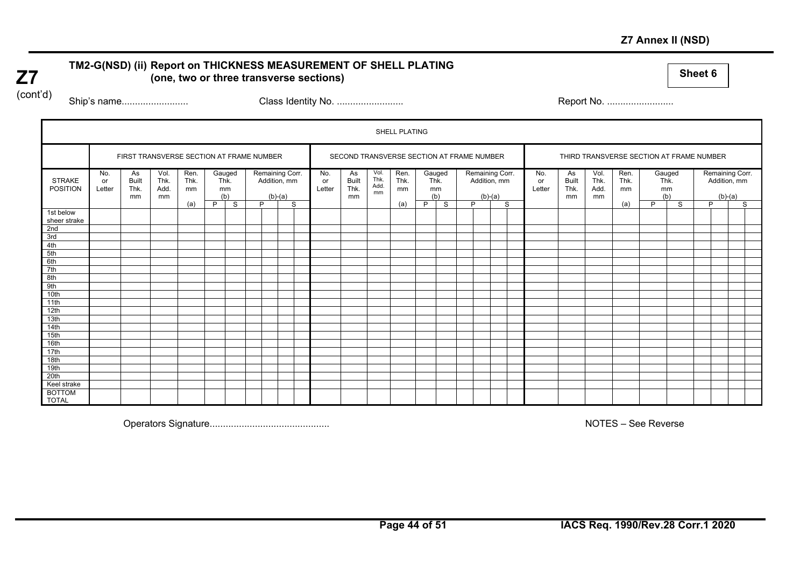## **Z7 Annex II (NSD)**

# TM2-G(NSD) (ii) Report on THICKNESS MEASUREMENT OF SHELL PLATING **(1994) (2006)** (one, two or three transverse sections)

(cont'd)

**Z7** 

Ship's name......................... Class Identity No. ......................... Report No. .........................

|                                  |                     |                                          |                            |                    |   |                             |   |                                              |                     |                                           |                            | SHELL PLATING      |   |                             |   |                                              |   |                     |                                  |                            |                                          |   |                             |   |           |                                 |  |
|----------------------------------|---------------------|------------------------------------------|----------------------------|--------------------|---|-----------------------------|---|----------------------------------------------|---------------------|-------------------------------------------|----------------------------|--------------------|---|-----------------------------|---|----------------------------------------------|---|---------------------|----------------------------------|----------------------------|------------------------------------------|---|-----------------------------|---|-----------|---------------------------------|--|
|                                  |                     | FIRST TRANSVERSE SECTION AT FRAME NUMBER |                            |                    |   |                             |   |                                              |                     | SECOND TRANSVERSE SECTION AT FRAME NUMBER |                            |                    |   |                             |   |                                              |   |                     |                                  |                            | THIRD TRANSVERSE SECTION AT FRAME NUMBER |   |                             |   |           |                                 |  |
| <b>STRAKE</b><br><b>POSITION</b> | No.<br>or<br>Letter | As<br><b>Built</b><br>Thk.<br>mm         | Vol.<br>Thk.<br>Add.<br>mm | Ren.<br>Thk.<br>mm |   | Gauged<br>Thk.<br>mm<br>(b) |   | Remaining Corr.<br>Addition, mm<br>$(b)-(a)$ | No.<br>or<br>Letter | As<br><b>Built</b><br>Thk.<br>mm          | Vol.<br>Thk.<br>Add.<br>mm | Ren.<br>Thk.<br>mm |   | Gauged<br>Thk.<br>mm<br>(b) |   | Remaining Corr.<br>Addition, mm<br>$(b)-(a)$ |   | No.<br>or<br>Letter | As<br><b>Built</b><br>Thk.<br>mm | Vol.<br>Thk.<br>Add.<br>mm | Ren.<br>Thk.<br>mm                       |   | Gauged<br>Thk.<br>mm<br>(b) |   | $(b)-(a)$ | Remaining Corr.<br>Addition, mm |  |
|                                  |                     |                                          |                            | (a)                | P | S                           | Þ | S                                            |                     |                                           |                            | (a)                | P | S                           | D |                                              | S |                     |                                  |                            | (a)                                      | P | S                           | D |           | S                               |  |
| 1st below<br>sheer strake        |                     |                                          |                            |                    |   |                             |   |                                              |                     |                                           |                            |                    |   |                             |   |                                              |   |                     |                                  |                            |                                          |   |                             |   |           |                                 |  |
| 2nd                              |                     |                                          |                            |                    |   |                             |   |                                              |                     |                                           |                            |                    |   |                             |   |                                              |   |                     |                                  |                            |                                          |   |                             |   |           |                                 |  |
| 3rd                              |                     |                                          |                            |                    |   |                             |   |                                              |                     |                                           |                            |                    |   |                             |   |                                              |   |                     |                                  |                            |                                          |   |                             |   |           |                                 |  |
| 4th                              |                     |                                          |                            |                    |   |                             |   |                                              |                     |                                           |                            |                    |   |                             |   |                                              |   |                     |                                  |                            |                                          |   |                             |   |           |                                 |  |
| 5th                              |                     |                                          |                            |                    |   |                             |   |                                              |                     |                                           |                            |                    |   |                             |   |                                              |   |                     |                                  |                            |                                          |   |                             |   |           |                                 |  |
| 6th                              |                     |                                          |                            |                    |   |                             |   |                                              |                     |                                           |                            |                    |   |                             |   |                                              |   |                     |                                  |                            |                                          |   |                             |   |           |                                 |  |
| 7th                              |                     |                                          |                            |                    |   |                             |   |                                              |                     |                                           |                            |                    |   |                             |   |                                              |   |                     |                                  |                            |                                          |   |                             |   |           |                                 |  |
| 8th                              |                     |                                          |                            |                    |   |                             |   |                                              |                     |                                           |                            |                    |   |                             |   |                                              |   |                     |                                  |                            |                                          |   |                             |   |           |                                 |  |
| 9th                              |                     |                                          |                            |                    |   |                             |   |                                              |                     |                                           |                            |                    |   |                             |   |                                              |   |                     |                                  |                            |                                          |   |                             |   |           |                                 |  |
| 10th                             |                     |                                          |                            |                    |   |                             |   |                                              |                     |                                           |                            |                    |   |                             |   |                                              |   |                     |                                  |                            |                                          |   |                             |   |           |                                 |  |
| 11th                             |                     |                                          |                            |                    |   |                             |   |                                              |                     |                                           |                            |                    |   |                             |   |                                              |   |                     |                                  |                            |                                          |   |                             |   |           |                                 |  |
| 12th                             |                     |                                          |                            |                    |   |                             |   |                                              |                     |                                           |                            |                    |   |                             |   |                                              |   |                     |                                  |                            |                                          |   |                             |   |           |                                 |  |
| 13th                             |                     |                                          |                            |                    |   |                             |   |                                              |                     |                                           |                            |                    |   |                             |   |                                              |   |                     |                                  |                            |                                          |   |                             |   |           |                                 |  |
| 14th                             |                     |                                          |                            |                    |   |                             |   |                                              |                     |                                           |                            |                    |   |                             |   |                                              |   |                     |                                  |                            |                                          |   |                             |   |           |                                 |  |
| 15th                             |                     |                                          |                            |                    |   |                             |   |                                              |                     |                                           |                            |                    |   |                             |   |                                              |   |                     |                                  |                            |                                          |   |                             |   |           |                                 |  |
| 16th                             |                     |                                          |                            |                    |   |                             |   |                                              |                     |                                           |                            |                    |   |                             |   |                                              |   |                     |                                  |                            |                                          |   |                             |   |           |                                 |  |
| 17th                             |                     |                                          |                            |                    |   |                             |   |                                              |                     |                                           |                            |                    |   |                             |   |                                              |   |                     |                                  |                            |                                          |   |                             |   |           |                                 |  |
| 18th                             |                     |                                          |                            |                    |   |                             |   |                                              |                     |                                           |                            |                    |   |                             |   |                                              |   |                     |                                  |                            |                                          |   |                             |   |           |                                 |  |
| 19th                             |                     |                                          |                            |                    |   |                             |   |                                              |                     |                                           |                            |                    |   |                             |   |                                              |   |                     |                                  |                            |                                          |   |                             |   |           |                                 |  |
| 20th                             |                     |                                          |                            |                    |   |                             |   |                                              |                     |                                           |                            |                    |   |                             |   |                                              |   |                     |                                  |                            |                                          |   |                             |   |           |                                 |  |
| Keel strake                      |                     |                                          |                            |                    |   |                             |   |                                              |                     |                                           |                            |                    |   |                             |   |                                              |   |                     |                                  |                            |                                          |   |                             |   |           |                                 |  |
| <b>BOTTOM</b><br><b>TOTAL</b>    |                     |                                          |                            |                    |   |                             |   |                                              |                     |                                           |                            |                    |   |                             |   |                                              |   |                     |                                  |                            |                                          |   |                             |   |           |                                 |  |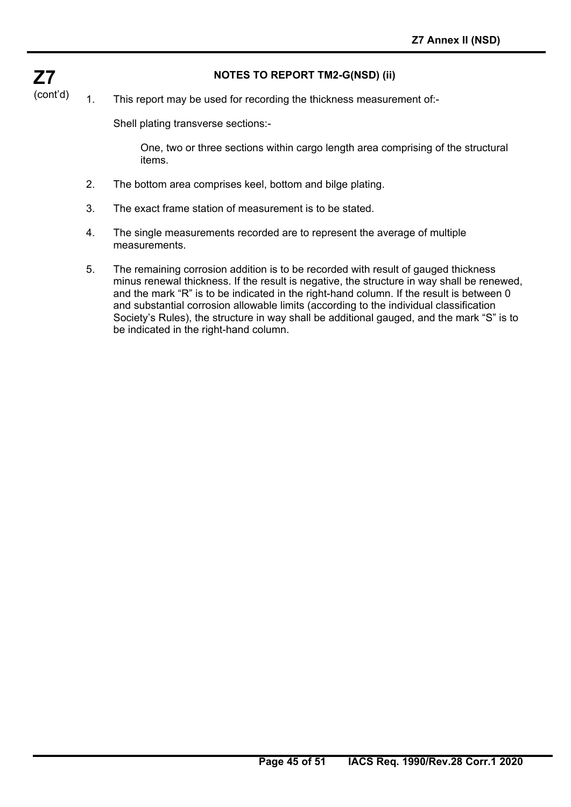## **NOTES TO REPORT TM2-G(NSD) (ii)**

(cont'd) 1. This report may be used for recording the thickness measurement of:-

Shell plating transverse sections:-

**Z7** 

 One, two or three sections within cargo length area comprising of the structural items.

- 2. The bottom area comprises keel, bottom and bilge plating.
- 3. The exact frame station of measurement is to be stated.
- 4. The single measurements recorded are to represent the average of multiple measurements.
- 5. The remaining corrosion addition is to be recorded with result of gauged thickness minus renewal thickness. If the result is negative, the structure in way shall be renewed, and the mark "R" is to be indicated in the right-hand column. If the result is between 0 and substantial corrosion allowable limits (according to the individual classification Society's Rules), the structure in way shall be additional gauged, and the mark "S" is to be indicated in the right-hand column.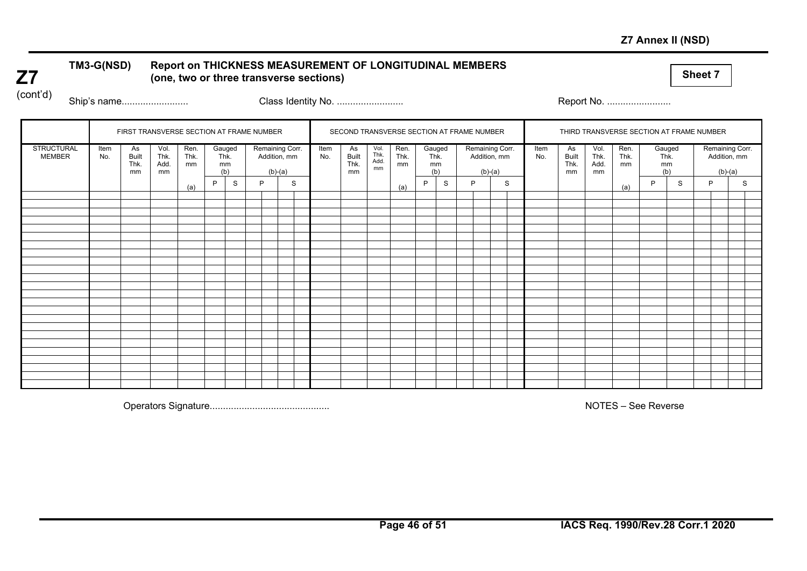## **Z7 Annex II (NSD)**

# TM3-G(NSD) Report on THICKNESS MEASUREMENT OF LONGITUDINAL MEMBERS (one, two or three transverse sections)

(cont'd)

**Z7** 

Ship's name......................... Class Identity No. ......................... Report No. ........................

|                                    |             | FIRST TRANSVERSE SECTION AT FRAME NUMBER |                            |                    |    |                       |   |                                              |             | SECOND TRANSVERSE SECTION AT FRAME NUMBER |                            |                    |   |                             |   |                                              |   |             |                                  |                            |                    | THIRD TRANSVERSE SECTION AT FRAME NUMBER |   |   |                                              |  |
|------------------------------------|-------------|------------------------------------------|----------------------------|--------------------|----|-----------------------|---|----------------------------------------------|-------------|-------------------------------------------|----------------------------|--------------------|---|-----------------------------|---|----------------------------------------------|---|-------------|----------------------------------|----------------------------|--------------------|------------------------------------------|---|---|----------------------------------------------|--|
| <b>STRUCTURAL</b><br><b>MEMBER</b> | Item<br>No. | As<br><b>Built</b><br>Thk.<br>mm         | Vol.<br>Thk.<br>Add.<br>mm | Ren.<br>Thk.<br>mm | mm | Gauged<br>Thk.<br>(b) |   | Remaining Corr.<br>Addition, mm<br>$(b)-(a)$ | Item<br>No. | As<br>Built<br>Thk.<br>mm                 | Vol.<br>Thk.<br>Add.<br>mm | Ren.<br>Thk.<br>mm |   | Gauged<br>Thk.<br>mm<br>(b) |   | Remaining Corr.<br>Addition, mm<br>$(b)-(a)$ |   | Item<br>No. | As<br><b>Built</b><br>Thk.<br>mm | Vol.<br>Thk.<br>Add.<br>mm | Ren.<br>Thk.<br>mm | Gauged<br>Thk.<br>mm<br>(b)              |   |   | Remaining Corr.<br>Addition, mm<br>$(b)-(a)$ |  |
|                                    |             |                                          |                            | (a)                | P  | S                     | P | S                                            |             |                                           |                            | (a)                | P | S                           | P |                                              | S |             |                                  |                            | (a)                | D                                        | S | P | S                                            |  |
|                                    |             |                                          |                            |                    |    |                       |   |                                              |             |                                           |                            |                    |   |                             |   |                                              |   |             |                                  |                            |                    |                                          |   |   |                                              |  |
|                                    |             |                                          |                            |                    |    |                       |   |                                              |             |                                           |                            |                    |   |                             |   |                                              |   |             |                                  |                            |                    |                                          |   |   |                                              |  |
|                                    |             |                                          |                            |                    |    |                       |   |                                              |             |                                           |                            |                    |   |                             |   |                                              |   |             |                                  |                            |                    |                                          |   |   |                                              |  |
|                                    |             |                                          |                            |                    |    |                       |   |                                              |             |                                           |                            |                    |   |                             |   |                                              |   |             |                                  |                            |                    |                                          |   |   |                                              |  |
|                                    |             |                                          |                            |                    |    |                       |   |                                              |             |                                           |                            |                    |   |                             |   |                                              |   |             |                                  |                            |                    |                                          |   |   |                                              |  |
|                                    |             |                                          |                            |                    |    |                       |   |                                              |             |                                           |                            |                    |   |                             |   |                                              |   |             |                                  |                            |                    |                                          |   |   |                                              |  |
|                                    |             |                                          |                            |                    |    |                       |   |                                              |             |                                           |                            |                    |   |                             |   |                                              |   |             |                                  |                            |                    |                                          |   |   |                                              |  |
|                                    |             |                                          |                            |                    |    |                       |   |                                              |             |                                           |                            |                    |   |                             |   |                                              |   |             |                                  |                            |                    |                                          |   |   |                                              |  |
|                                    |             |                                          |                            |                    |    |                       |   |                                              |             |                                           |                            |                    |   |                             |   |                                              |   |             |                                  |                            |                    |                                          |   |   |                                              |  |
|                                    |             |                                          |                            |                    |    |                       |   |                                              |             |                                           |                            |                    |   |                             |   |                                              |   |             |                                  |                            |                    |                                          |   |   |                                              |  |
|                                    |             |                                          |                            |                    |    |                       |   |                                              |             |                                           |                            |                    |   |                             |   |                                              |   |             |                                  |                            |                    |                                          |   |   |                                              |  |
|                                    |             |                                          |                            |                    |    |                       |   |                                              |             |                                           |                            |                    |   |                             |   |                                              |   |             |                                  |                            |                    |                                          |   |   |                                              |  |
|                                    |             |                                          |                            |                    |    |                       |   |                                              |             |                                           |                            |                    |   |                             |   |                                              |   |             |                                  |                            |                    |                                          |   |   |                                              |  |
|                                    |             |                                          |                            |                    |    |                       |   |                                              |             |                                           |                            |                    |   |                             |   |                                              |   |             |                                  |                            |                    |                                          |   |   |                                              |  |
|                                    |             |                                          |                            |                    |    |                       |   |                                              |             |                                           |                            |                    |   |                             |   |                                              |   |             |                                  |                            |                    |                                          |   |   |                                              |  |
|                                    |             |                                          |                            |                    |    |                       |   |                                              |             |                                           |                            |                    |   |                             |   |                                              |   |             |                                  |                            |                    |                                          |   |   |                                              |  |
|                                    |             |                                          |                            |                    |    |                       |   |                                              |             |                                           |                            |                    |   |                             |   |                                              |   |             |                                  |                            |                    |                                          |   |   |                                              |  |
|                                    |             |                                          |                            |                    |    |                       |   |                                              |             |                                           |                            |                    |   |                             |   |                                              |   |             |                                  |                            |                    |                                          |   |   |                                              |  |
|                                    |             |                                          |                            |                    |    |                       |   |                                              |             |                                           |                            |                    |   |                             |   |                                              |   |             |                                  |                            |                    |                                          |   |   |                                              |  |
|                                    |             |                                          |                            |                    |    |                       |   |                                              |             |                                           |                            |                    |   |                             |   |                                              |   |             |                                  |                            |                    |                                          |   |   |                                              |  |
|                                    |             |                                          |                            |                    |    |                       |   |                                              |             |                                           |                            |                    |   |                             |   |                                              |   |             |                                  |                            |                    |                                          |   |   |                                              |  |
|                                    |             |                                          |                            |                    |    |                       |   |                                              |             |                                           |                            |                    |   |                             |   |                                              |   |             |                                  |                            |                    |                                          |   |   |                                              |  |
|                                    |             |                                          |                            |                    |    |                       |   |                                              |             |                                           |                            |                    |   |                             |   |                                              |   |             |                                  |                            |                    |                                          |   |   |                                              |  |
|                                    |             |                                          |                            |                    |    |                       |   |                                              |             |                                           |                            |                    |   |                             |   |                                              |   |             |                                  |                            |                    |                                          |   |   |                                              |  |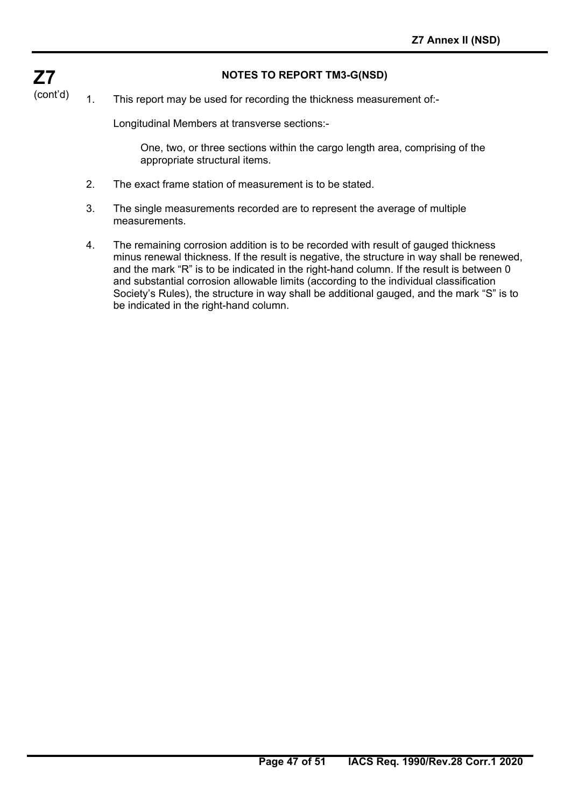## **NOTES TO REPORT TM3-G(NSD)**

(cont'd) 1. This report may be used for recording the thickness measurement of:-

Longitudinal Members at transverse sections:-

**Z7** 

 One, two, or three sections within the cargo length area, comprising of the appropriate structural items.

- 2. The exact frame station of measurement is to be stated.
- 3. The single measurements recorded are to represent the average of multiple measurements.
- 4. The remaining corrosion addition is to be recorded with result of gauged thickness minus renewal thickness. If the result is negative, the structure in way shall be renewed, and the mark "R" is to be indicated in the right-hand column. If the result is between 0 and substantial corrosion allowable limits (according to the individual classification Society's Rules), the structure in way shall be additional gauged, and the mark "S" is to be indicated in the right-hand column.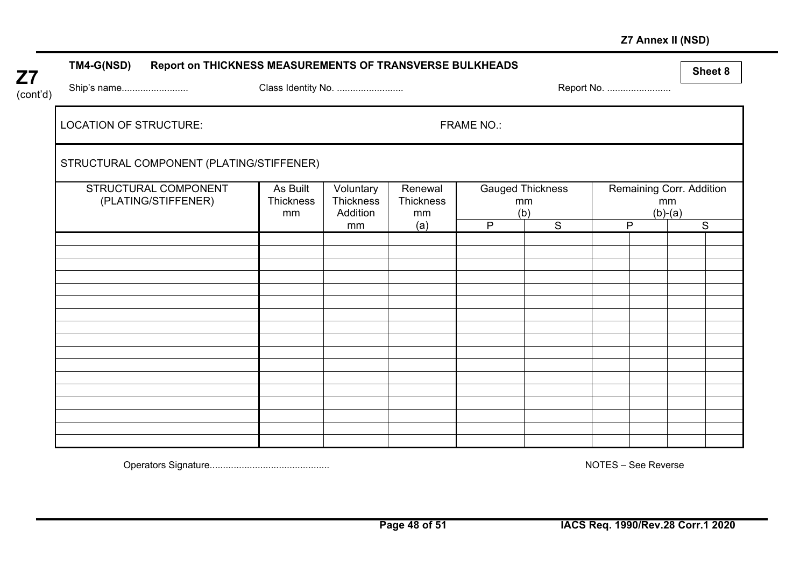## **Z7 Annex II (NSD)**

| <b>Z7</b> | <b>TM4-G(NSD)</b><br>Report on THICKNESS MEASUREMENTS OF TRANSVERSE BULKHEADS |                             |                                    |                            |                   |                               |            | Sheet 8                                     |
|-----------|-------------------------------------------------------------------------------|-----------------------------|------------------------------------|----------------------------|-------------------|-------------------------------|------------|---------------------------------------------|
| (cont'd)  | Ship's name                                                                   | Class Identity No.          |                                    |                            |                   |                               | Report No. |                                             |
|           | <b>LOCATION OF STRUCTURE:</b>                                                 |                             |                                    |                            | <b>FRAME NO.:</b> |                               |            |                                             |
|           | STRUCTURAL COMPONENT (PLATING/STIFFENER)                                      |                             |                                    |                            |                   |                               |            |                                             |
|           | STRUCTURAL COMPONENT<br>(PLATING/STIFFENER)                                   | As Built<br>Thickness<br>mm | Voluntary<br>Thickness<br>Addition | Renewal<br>Thickness<br>mm | (b)               | <b>Gauged Thickness</b><br>mm |            | Remaining Corr. Addition<br>mm<br>$(b)-(a)$ |
|           |                                                                               |                             | mm                                 | (a)                        | P                 | S                             | P          | S                                           |
|           |                                                                               |                             |                                    |                            |                   |                               |            |                                             |
|           |                                                                               |                             |                                    |                            |                   |                               |            |                                             |
|           |                                                                               |                             |                                    |                            |                   |                               |            |                                             |
|           |                                                                               |                             |                                    |                            |                   |                               |            |                                             |
|           |                                                                               |                             |                                    |                            |                   |                               |            |                                             |
|           |                                                                               |                             |                                    |                            |                   |                               |            |                                             |
|           |                                                                               |                             |                                    |                            |                   |                               |            |                                             |
|           |                                                                               |                             |                                    |                            |                   |                               |            |                                             |
|           |                                                                               |                             |                                    |                            |                   |                               |            |                                             |
|           |                                                                               |                             |                                    |                            |                   |                               |            |                                             |
|           |                                                                               |                             |                                    |                            |                   |                               |            |                                             |

Operators Signature............................................. NOTES – See Reverse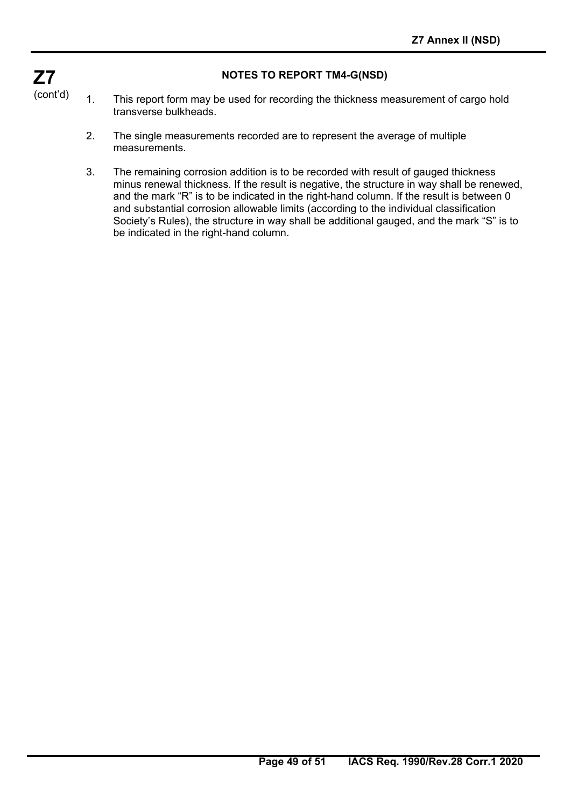## **NOTES TO REPORT TM4-G(NSD)**

- **Z7**  (cont'd)
	- 1. This report form may be used for recording the thickness measurement of cargo hold transverse bulkheads.
		- 2. The single measurements recorded are to represent the average of multiple measurements.
		- 3. The remaining corrosion addition is to be recorded with result of gauged thickness minus renewal thickness. If the result is negative, the structure in way shall be renewed, and the mark "R" is to be indicated in the right-hand column. If the result is between 0 and substantial corrosion allowable limits (according to the individual classification Society's Rules), the structure in way shall be additional gauged, and the mark "S" is to be indicated in the right-hand column.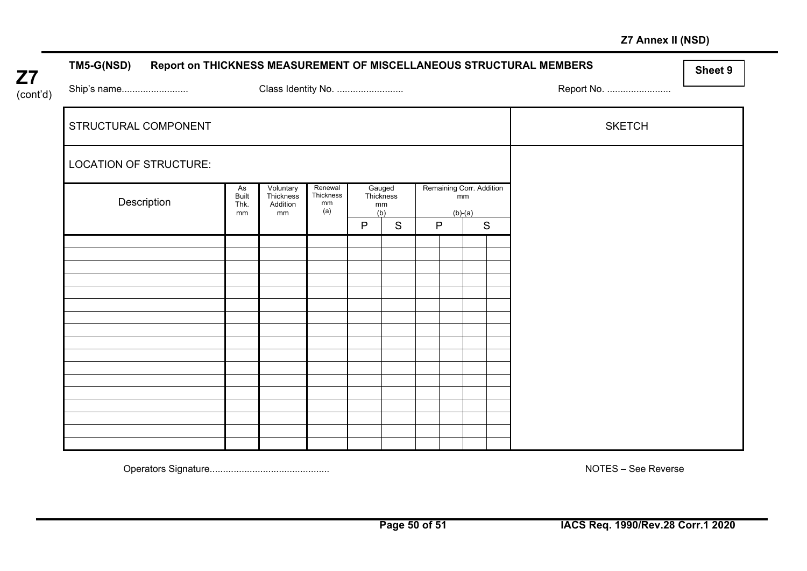## **Z7 Annex II (NSD)**

| <b>TM5-G(NSD)</b>             |                                  |                                          |                                   |                                  |   |              |                                |           |             | Report on THICKNESS MEASUREMENT OF MISCELLANEOUS STRUCTURAL MEMBERS | Sheet 9 |
|-------------------------------|----------------------------------|------------------------------------------|-----------------------------------|----------------------------------|---|--------------|--------------------------------|-----------|-------------|---------------------------------------------------------------------|---------|
| Ship's name                   |                                  | Class Identity No.                       |                                   |                                  |   |              |                                |           |             | Report No.                                                          |         |
| STRUCTURAL COMPONENT          |                                  |                                          |                                   |                                  |   |              |                                |           |             | <b>SKETCH</b>                                                       |         |
| <b>LOCATION OF STRUCTURE:</b> |                                  |                                          |                                   |                                  |   |              |                                |           |             |                                                                     |         |
| Description                   | As<br><b>Built</b><br>Thk.<br>mm | Voluntary<br>Thickness<br>Addition<br>mm | Renewal<br>Thickness<br>mm<br>(a) | Gauged<br>Thickness<br>mm<br>(b) |   |              | Remaining Corr. Addition<br>mm | $(b)-(a)$ |             |                                                                     |         |
|                               |                                  |                                          |                                   | $\mathsf{P}$                     | S | $\mathsf{P}$ |                                |           | $\mathbf S$ |                                                                     |         |
|                               |                                  |                                          |                                   |                                  |   |              |                                |           |             |                                                                     |         |
|                               |                                  |                                          |                                   |                                  |   |              |                                |           |             |                                                                     |         |
|                               |                                  |                                          |                                   |                                  |   |              |                                |           |             |                                                                     |         |
|                               |                                  |                                          |                                   |                                  |   |              |                                |           |             |                                                                     |         |
|                               |                                  |                                          |                                   |                                  |   |              |                                |           |             |                                                                     |         |
|                               |                                  |                                          |                                   |                                  |   |              |                                |           |             |                                                                     |         |
|                               |                                  |                                          |                                   |                                  |   |              |                                |           |             |                                                                     |         |
|                               |                                  |                                          |                                   |                                  |   |              |                                |           |             |                                                                     |         |
|                               |                                  |                                          |                                   |                                  |   |              |                                |           |             |                                                                     |         |
|                               |                                  |                                          |                                   |                                  |   |              |                                |           |             |                                                                     |         |